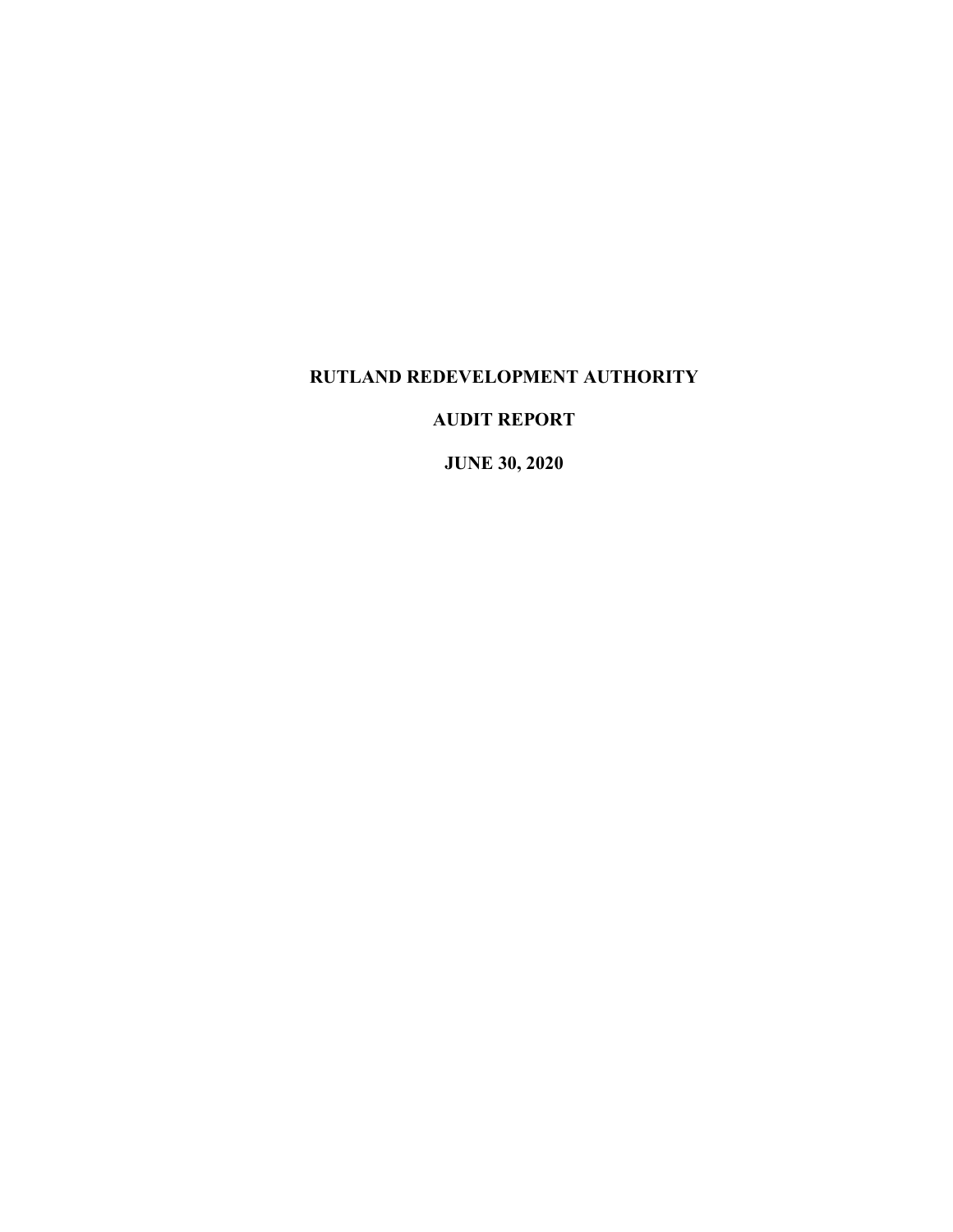# **RUTLAND REDEVELOPMENT AUTHORITY**

# **AUDIT REPORT**

**JUNE 30, 2020**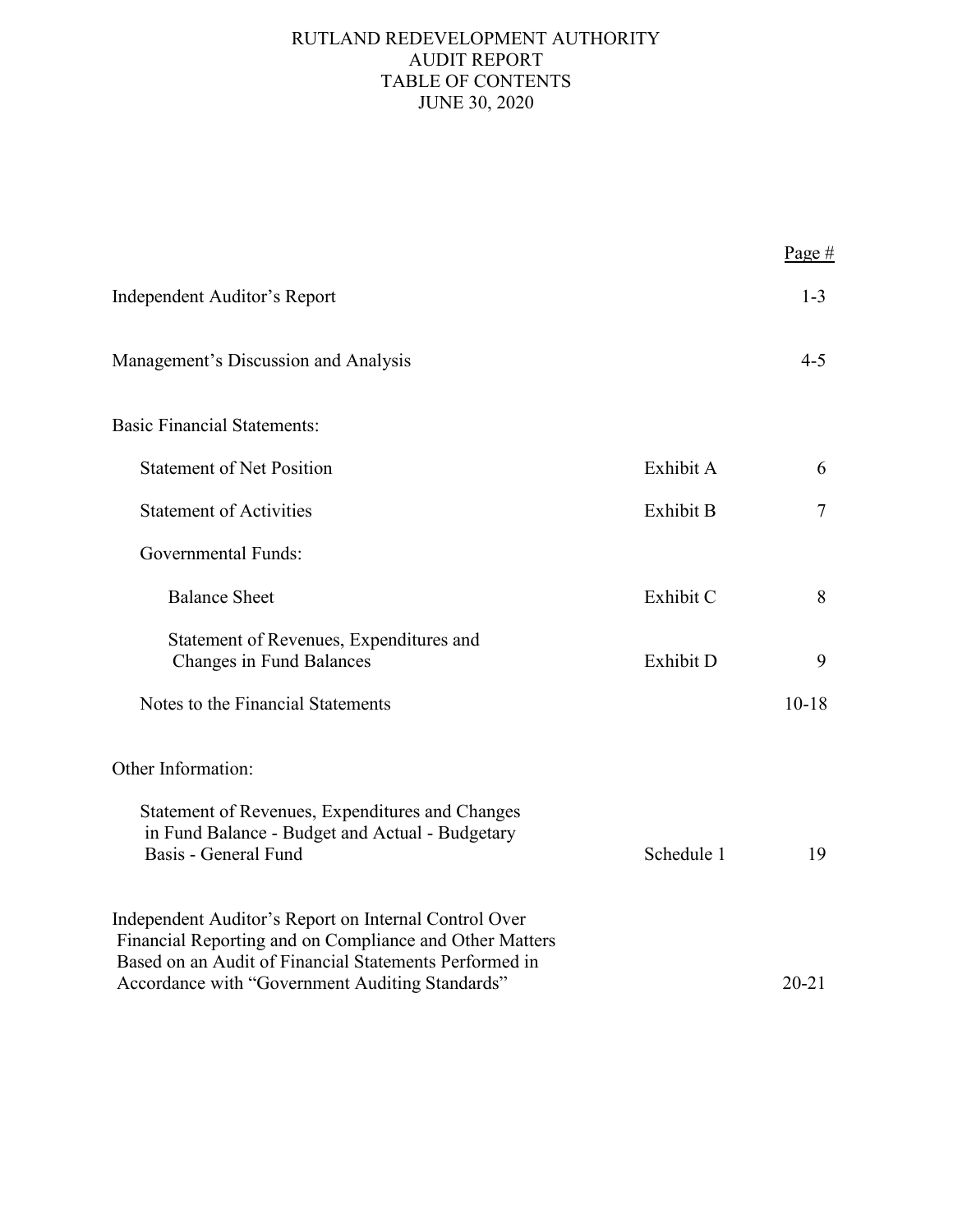# RUTLAND REDEVELOPMENT AUTHORITY AUDIT REPORT TABLE OF CONTENTS JUNE 30, 2020

|                                                                                                                                                                            |            | Page #         |
|----------------------------------------------------------------------------------------------------------------------------------------------------------------------------|------------|----------------|
| Independent Auditor's Report                                                                                                                                               |            | $1 - 3$        |
| Management's Discussion and Analysis                                                                                                                                       |            | $4 - 5$        |
| <b>Basic Financial Statements:</b>                                                                                                                                         |            |                |
| <b>Statement of Net Position</b>                                                                                                                                           | Exhibit A  | 6              |
| <b>Statement of Activities</b>                                                                                                                                             | Exhibit B  | $\overline{7}$ |
| <b>Governmental Funds:</b>                                                                                                                                                 |            |                |
| <b>Balance Sheet</b>                                                                                                                                                       | Exhibit C  | 8              |
| Statement of Revenues, Expenditures and<br>Changes in Fund Balances                                                                                                        | Exhibit D  | 9              |
| Notes to the Financial Statements                                                                                                                                          |            | $10-18$        |
| Other Information:                                                                                                                                                         |            |                |
| Statement of Revenues, Expenditures and Changes<br>in Fund Balance - Budget and Actual - Budgetary<br>Basis - General Fund                                                 | Schedule 1 | 19             |
| Independent Auditor's Report on Internal Control Over<br>Financial Reporting and on Compliance and Other Matters<br>Based on an Audit of Financial Statements Performed in |            |                |
| Accordance with "Government Auditing Standards"                                                                                                                            |            | $20 - 21$      |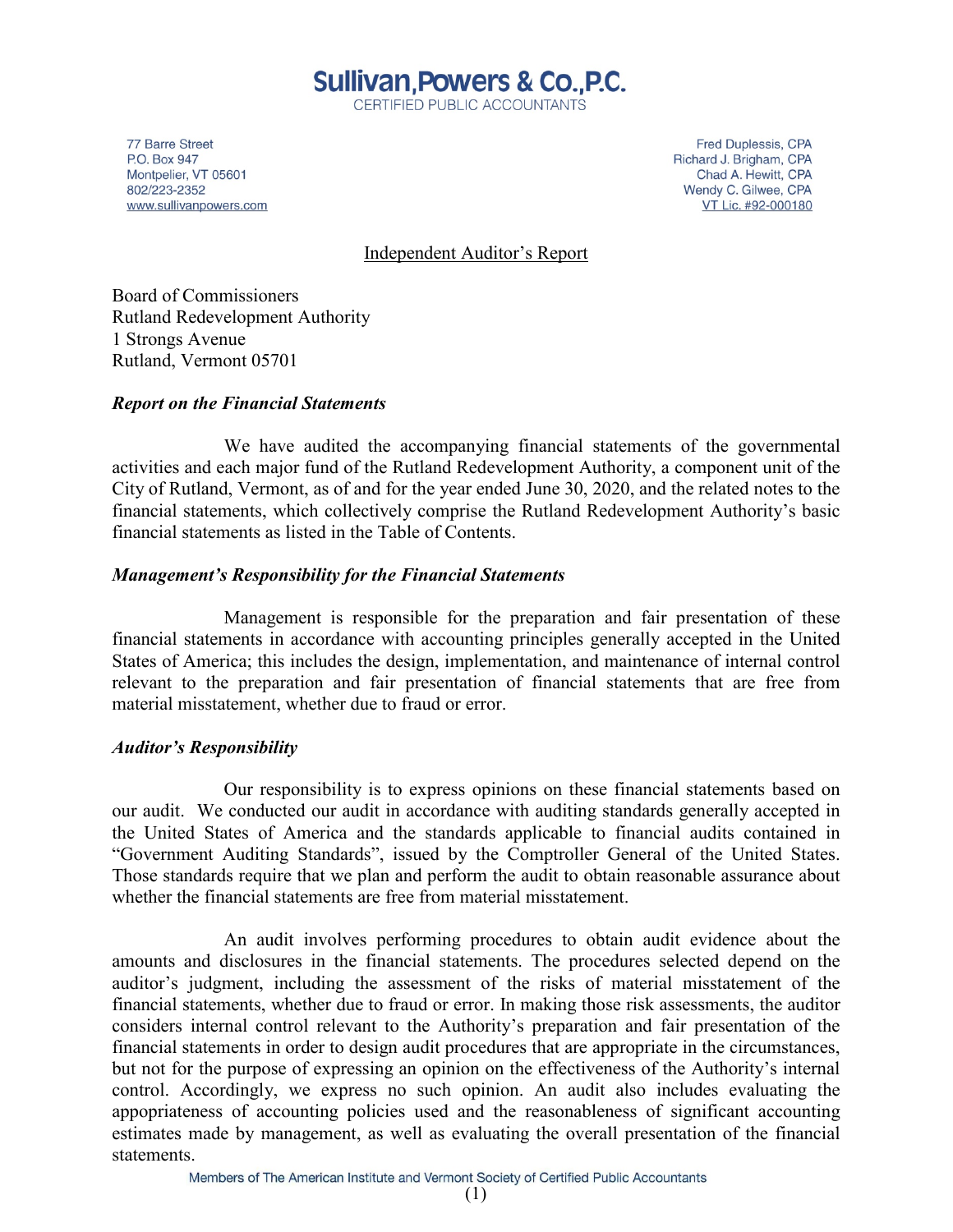

**77 Barre Street** P.O. Box 947 Montpelier, VT 05601 802/223-2352 www.sullivanpowers.com

Fred Duplessis, CPA Richard J. Brigham, CPA Chad A. Hewitt, CPA Wendy C. Gilwee, CPA VT Lic. #92-000180

#### Independent Auditor's Report

Board of Commissioners Rutland Redevelopment Authority 1 Strongs Avenue Rutland, Vermont 05701

#### *Report on the Financial Statements*

We have audited the accompanying financial statements of the governmental activities and each major fund of the Rutland Redevelopment Authority, a component unit of the City of Rutland, Vermont, as of and for the year ended June 30, 2020, and the related notes to the financial statements, which collectively comprise the Rutland Redevelopment Authority's basic financial statements as listed in the Table of Contents.

#### *Management's Responsibility for the Financial Statements*

Management is responsible for the preparation and fair presentation of these financial statements in accordance with accounting principles generally accepted in the United States of America; this includes the design, implementation, and maintenance of internal control relevant to the preparation and fair presentation of financial statements that are free from material misstatement, whether due to fraud or error.

#### *Auditor's Responsibility*

Our responsibility is to express opinions on these financial statements based on our audit. We conducted our audit in accordance with auditing standards generally accepted in the United States of America and the standards applicable to financial audits contained in "Government Auditing Standards", issued by the Comptroller General of the United States. Those standards require that we plan and perform the audit to obtain reasonable assurance about whether the financial statements are free from material misstatement.

An audit involves performing procedures to obtain audit evidence about the amounts and disclosures in the financial statements. The procedures selected depend on the auditor's judgment, including the assessment of the risks of material misstatement of the financial statements, whether due to fraud or error. In making those risk assessments, the auditor considers internal control relevant to the Authority's preparation and fair presentation of the financial statements in order to design audit procedures that are appropriate in the circumstances, but not for the purpose of expressing an opinion on the effectiveness of the Authority's internal control. Accordingly, we express no such opinion. An audit also includes evaluating the appopriateness of accounting policies used and the reasonableness of significant accounting estimates made by management, as well as evaluating the overall presentation of the financial statements.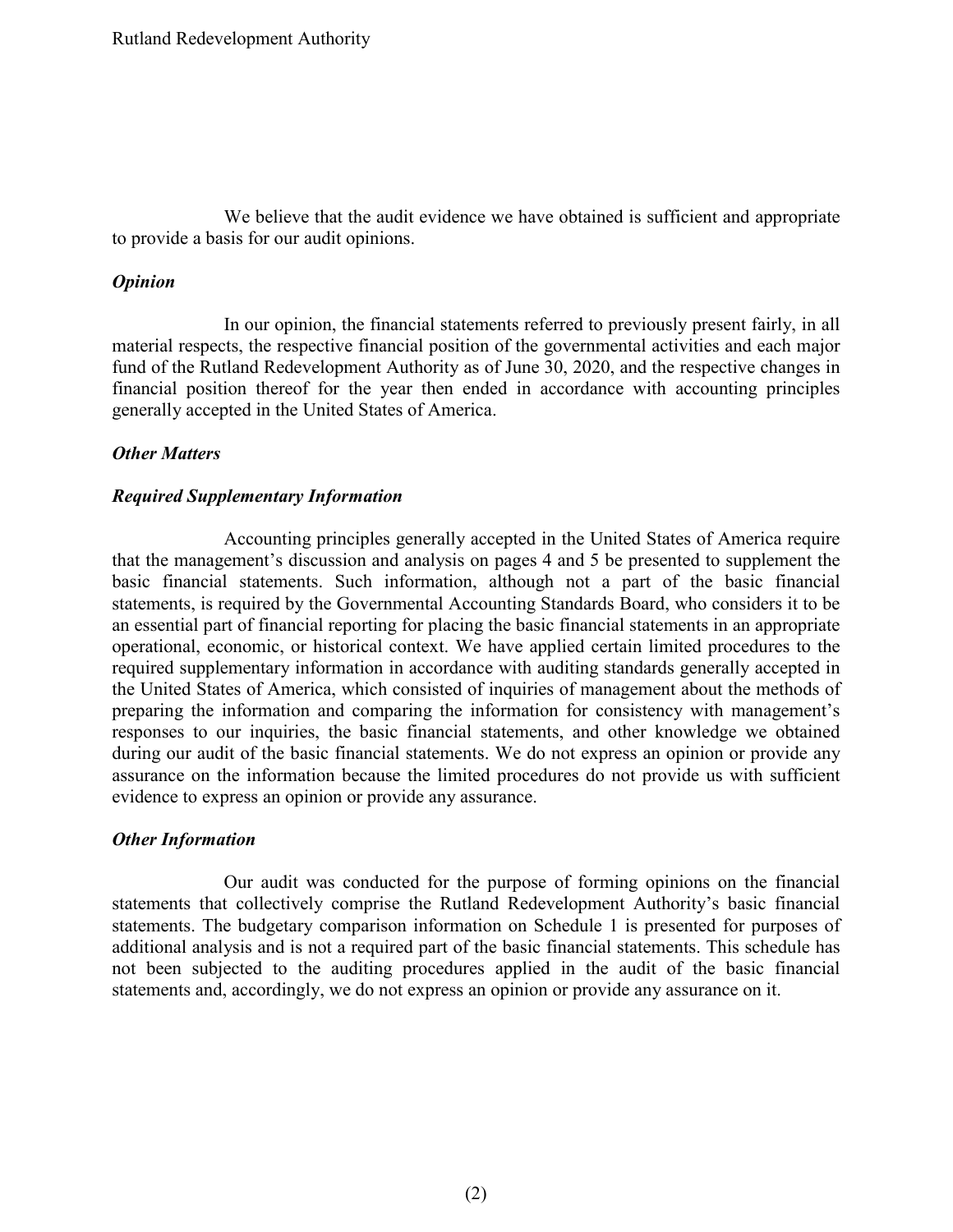Rutland Redevelopment Authority

We believe that the audit evidence we have obtained is sufficient and appropriate to provide a basis for our audit opinions.

#### *Opinion*

In our opinion, the financial statements referred to previously present fairly, in all material respects, the respective financial position of the governmental activities and each major fund of the Rutland Redevelopment Authority as of June 30, 2020, and the respective changes in financial position thereof for the year then ended in accordance with accounting principles generally accepted in the United States of America.

#### *Other Matters*

#### *Required Supplementary Information*

Accounting principles generally accepted in the United States of America require that the management's discussion and analysis on pages 4 and 5 be presented to supplement the basic financial statements. Such information, although not a part of the basic financial statements, is required by the Governmental Accounting Standards Board, who considers it to be an essential part of financial reporting for placing the basic financial statements in an appropriate operational, economic, or historical context. We have applied certain limited procedures to the required supplementary information in accordance with auditing standards generally accepted in the United States of America, which consisted of inquiries of management about the methods of preparing the information and comparing the information for consistency with management's responses to our inquiries, the basic financial statements, and other knowledge we obtained during our audit of the basic financial statements. We do not express an opinion or provide any assurance on the information because the limited procedures do not provide us with sufficient evidence to express an opinion or provide any assurance.

#### *Other Information*

Our audit was conducted for the purpose of forming opinions on the financial statements that collectively comprise the Rutland Redevelopment Authority's basic financial statements. The budgetary comparison information on Schedule 1 is presented for purposes of additional analysis and is not a required part of the basic financial statements. This schedule has not been subjected to the auditing procedures applied in the audit of the basic financial statements and, accordingly, we do not express an opinion or provide any assurance on it.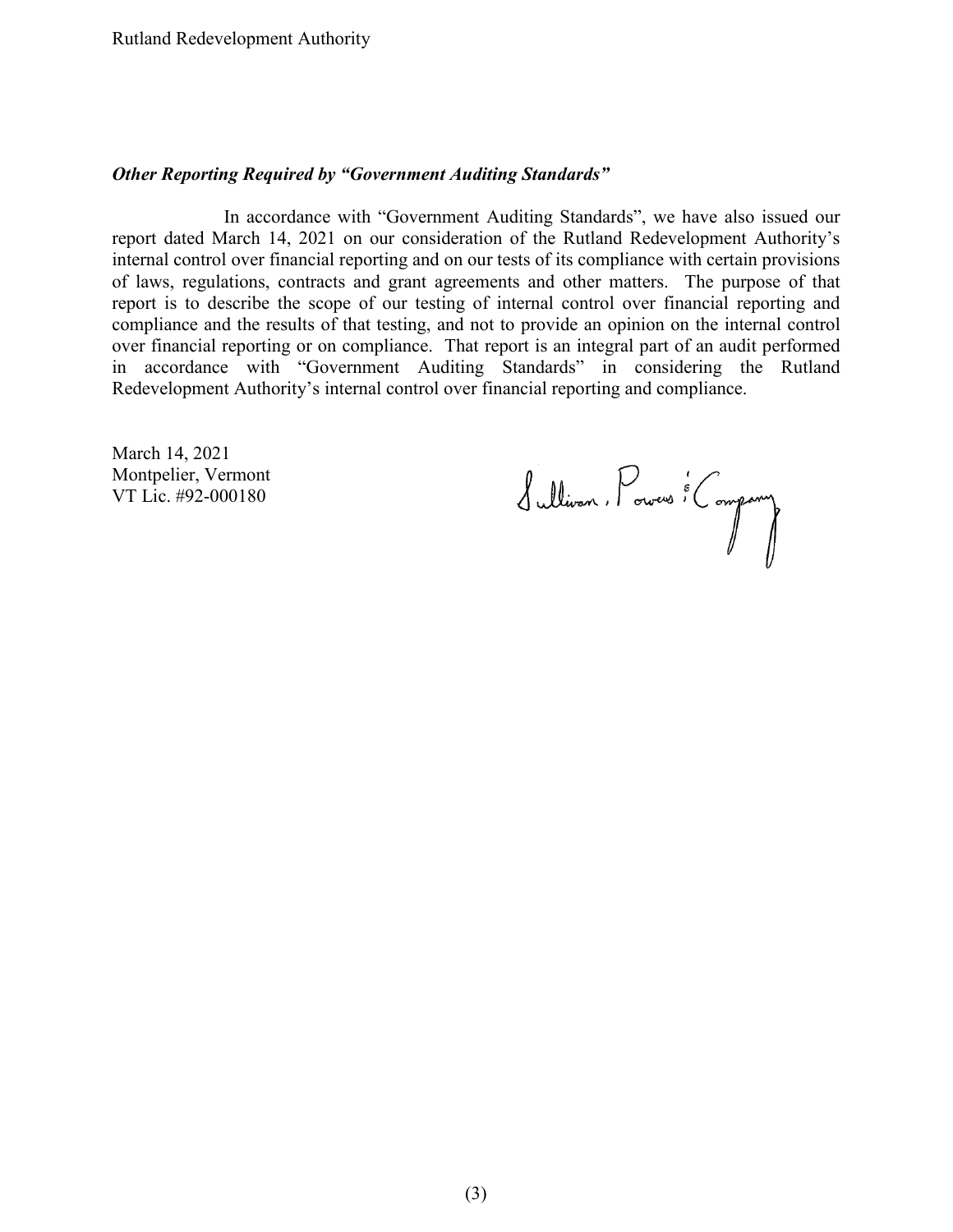Rutland Redevelopment Authority

#### *Other Reporting Required by "Government Auditing Standards"*

In accordance with "Government Auditing Standards", we have also issued our report dated March 14, 2021 on our consideration of the Rutland Redevelopment Authority's internal control over financial reporting and on our tests of its compliance with certain provisions of laws, regulations, contracts and grant agreements and other matters. The purpose of that report is to describe the scope of our testing of internal control over financial reporting and compliance and the results of that testing, and not to provide an opinion on the internal control over financial reporting or on compliance. That report is an integral part of an audit performed in accordance with "Government Auditing Standards" in considering the Rutland Redevelopment Authority's internal control over financial reporting and compliance.

March 14, 2021 Montpelier, Vermont VT Lic. #92-000180

Sullivan, Powers : Company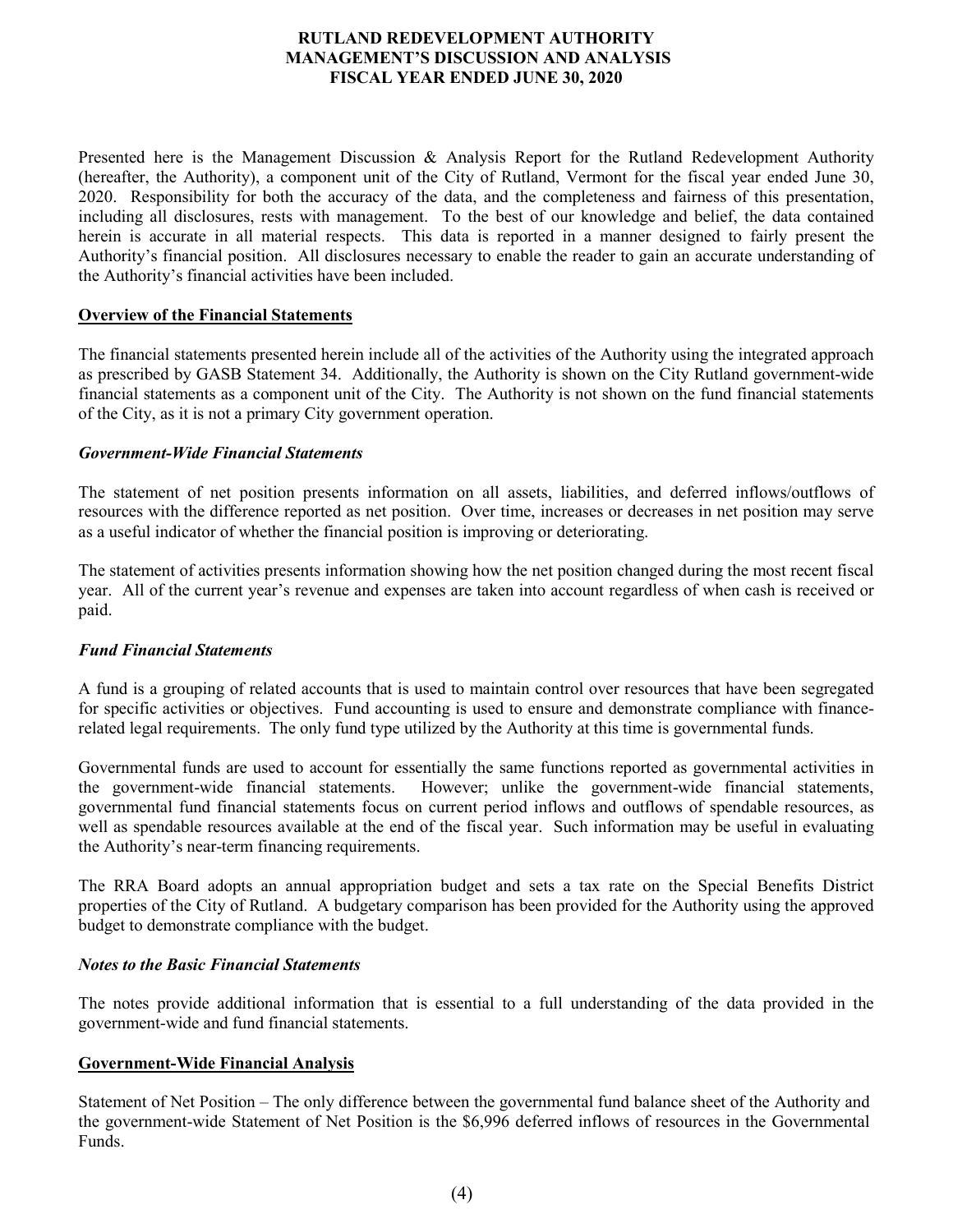#### **RUTLAND REDEVELOPMENT AUTHORITY MANAGEMENT'S DISCUSSION AND ANALYSIS FISCAL YEAR ENDED JUNE 30, 2020**

Presented here is the Management Discussion & Analysis Report for the Rutland Redevelopment Authority (hereafter, the Authority), a component unit of the City of Rutland, Vermont for the fiscal year ended June 30, 2020. Responsibility for both the accuracy of the data, and the completeness and fairness of this presentation, including all disclosures, rests with management. To the best of our knowledge and belief, the data contained herein is accurate in all material respects. This data is reported in a manner designed to fairly present the Authority's financial position. All disclosures necessary to enable the reader to gain an accurate understanding of the Authority's financial activities have been included.

#### **Overview of the Financial Statements**

The financial statements presented herein include all of the activities of the Authority using the integrated approach as prescribed by GASB Statement 34. Additionally, the Authority is shown on the City Rutland government-wide financial statements as a component unit of the City. The Authority is not shown on the fund financial statements of the City, as it is not a primary City government operation.

#### *Government-Wide Financial Statements*

The statement of net position presents information on all assets, liabilities, and deferred inflows/outflows of resources with the difference reported as net position. Over time, increases or decreases in net position may serve as a useful indicator of whether the financial position is improving or deteriorating.

The statement of activities presents information showing how the net position changed during the most recent fiscal year. All of the current year's revenue and expenses are taken into account regardless of when cash is received or paid.

#### *Fund Financial Statements*

A fund is a grouping of related accounts that is used to maintain control over resources that have been segregated for specific activities or objectives. Fund accounting is used to ensure and demonstrate compliance with financerelated legal requirements. The only fund type utilized by the Authority at this time is governmental funds.

Governmental funds are used to account for essentially the same functions reported as governmental activities in the government-wide financial statements. However; unlike the government-wide financial statements, governmental fund financial statements focus on current period inflows and outflows of spendable resources, as well as spendable resources available at the end of the fiscal year. Such information may be useful in evaluating the Authority's near-term financing requirements.

The RRA Board adopts an annual appropriation budget and sets a tax rate on the Special Benefits District properties of the City of Rutland. A budgetary comparison has been provided for the Authority using the approved budget to demonstrate compliance with the budget.

#### *Notes to the Basic Financial Statements*

The notes provide additional information that is essential to a full understanding of the data provided in the government-wide and fund financial statements.

#### **Government-Wide Financial Analysis**

Statement of Net Position – The only difference between the governmental fund balance sheet of the Authority and the government-wide Statement of Net Position is the \$6,996 deferred inflows of resources in the Governmental Funds.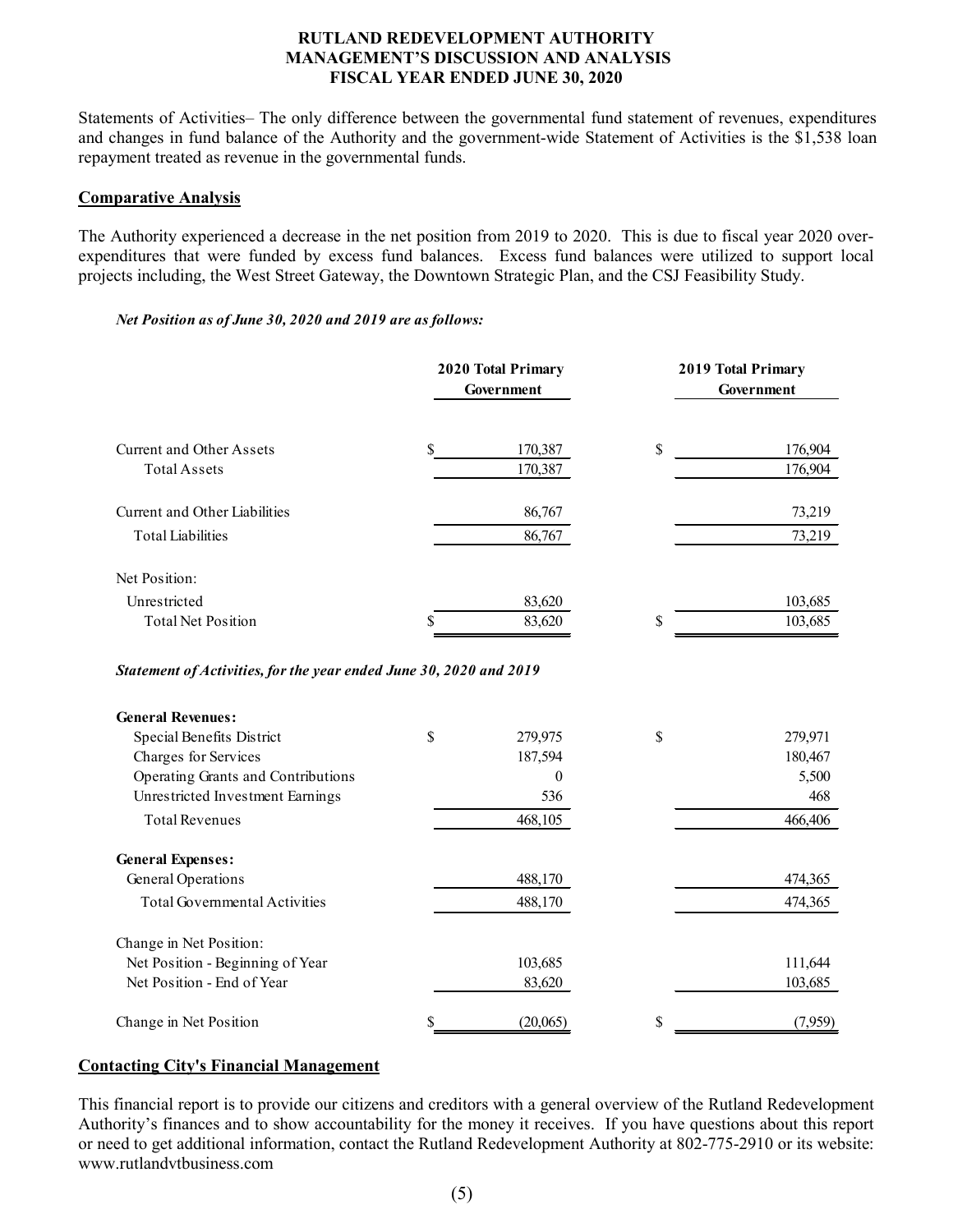#### **RUTLAND REDEVELOPMENT AUTHORITY MANAGEMENT'S DISCUSSION AND ANALYSIS FISCAL YEAR ENDED JUNE 30, 2020**

Statements of Activities– The only difference between the governmental fund statement of revenues, expenditures and changes in fund balance of the Authority and the government-wide Statement of Activities is the \$1,538 loan repayment treated as revenue in the governmental funds.

#### **Comparative Analysis**

The Authority experienced a decrease in the net position from 2019 to 2020. This is due to fiscal year 2020 overexpenditures that were funded by excess fund balances. Excess fund balances were utilized to support local projects including, the West Street Gateway, the Downtown Strategic Plan, and the CSJ Feasibility Study.

#### *Net Position as of June 30, 2020 and 2019 are as follows:*

|                               | 2020 Total Primary<br>Government |         | 2019 Total Primary<br>Government |  |
|-------------------------------|----------------------------------|---------|----------------------------------|--|
| Current and Other Assets      | \$.                              | 170,387 | \$<br>176,904                    |  |
| <b>Total Assets</b>           |                                  | 170,387 | 176,904                          |  |
| Current and Other Liabilities |                                  | 86,767  | 73,219                           |  |
| <b>Total Liabilities</b>      |                                  | 86,767  | 73,219                           |  |
| Net Position:                 |                                  |         |                                  |  |
| Unrestricted                  |                                  | 83,620  | 103,685                          |  |
| <b>Total Net Position</b>     | \$                               | 83,620  | \$<br>103,685                    |  |

#### *Statement of Activities, for the year ended June 30, 2020 and 2019*

| <b>General Revenues:</b>             |               |               |
|--------------------------------------|---------------|---------------|
| Special Benefits District            | \$<br>279,975 | \$<br>279,971 |
| Charges for Services                 | 187,594       | 180,467       |
| Operating Grants and Contributions   | $\theta$      | 5,500         |
| Unrestricted Investment Earnings     | 536           | 468           |
| <b>Total Revenues</b>                | 468,105       | 466,406       |
| <b>General Expenses:</b>             |               |               |
| General Operations                   | 488,170       | 474,365       |
| <b>Total Governmental Activities</b> | 488,170       | 474,365       |
| Change in Net Position:              |               |               |
| Net Position - Beginning of Year     | 103,685       | 111,644       |
| Net Position - End of Year           | 83,620        | 103,685       |
| Change in Net Position               | (20,065)      | \$<br>(7,959) |

#### **Contacting City's Financial Management**

This financial report is to provide our citizens and creditors with a general overview of the Rutland Redevelopment Authority's finances and to show accountability for the money it receives. If you have questions about this report or need to get additional information, contact the Rutland Redevelopment Authority at 802-775-2910 or its website: www.rutlandvtbusiness.com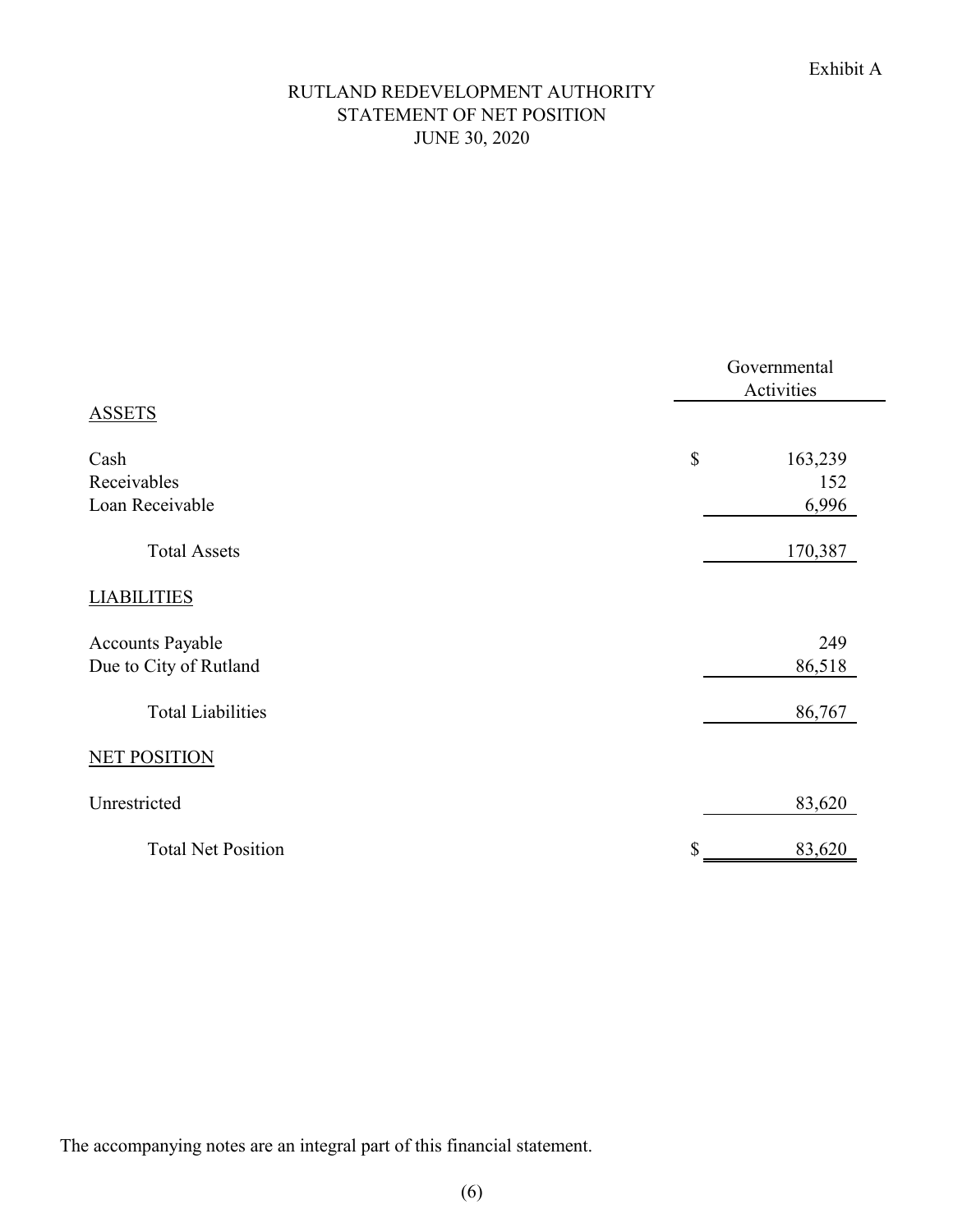# RUTLAND REDEVELOPMENT AUTHORITY STATEMENT OF NET POSITION JUNE 30, 2020

|                           | Governmental<br>Activities |
|---------------------------|----------------------------|
| <b>ASSETS</b>             |                            |
| Cash                      | \$<br>163,239              |
| Receivables               | 152                        |
| Loan Receivable           | 6,996                      |
| <b>Total Assets</b>       | 170,387                    |
| <b>LIABILITIES</b>        |                            |
| Accounts Payable          | 249                        |
| Due to City of Rutland    | 86,518                     |
| <b>Total Liabilities</b>  | 86,767                     |
| <b>NET POSITION</b>       |                            |
| Unrestricted              | 83,620                     |
| <b>Total Net Position</b> | \$<br>83,620               |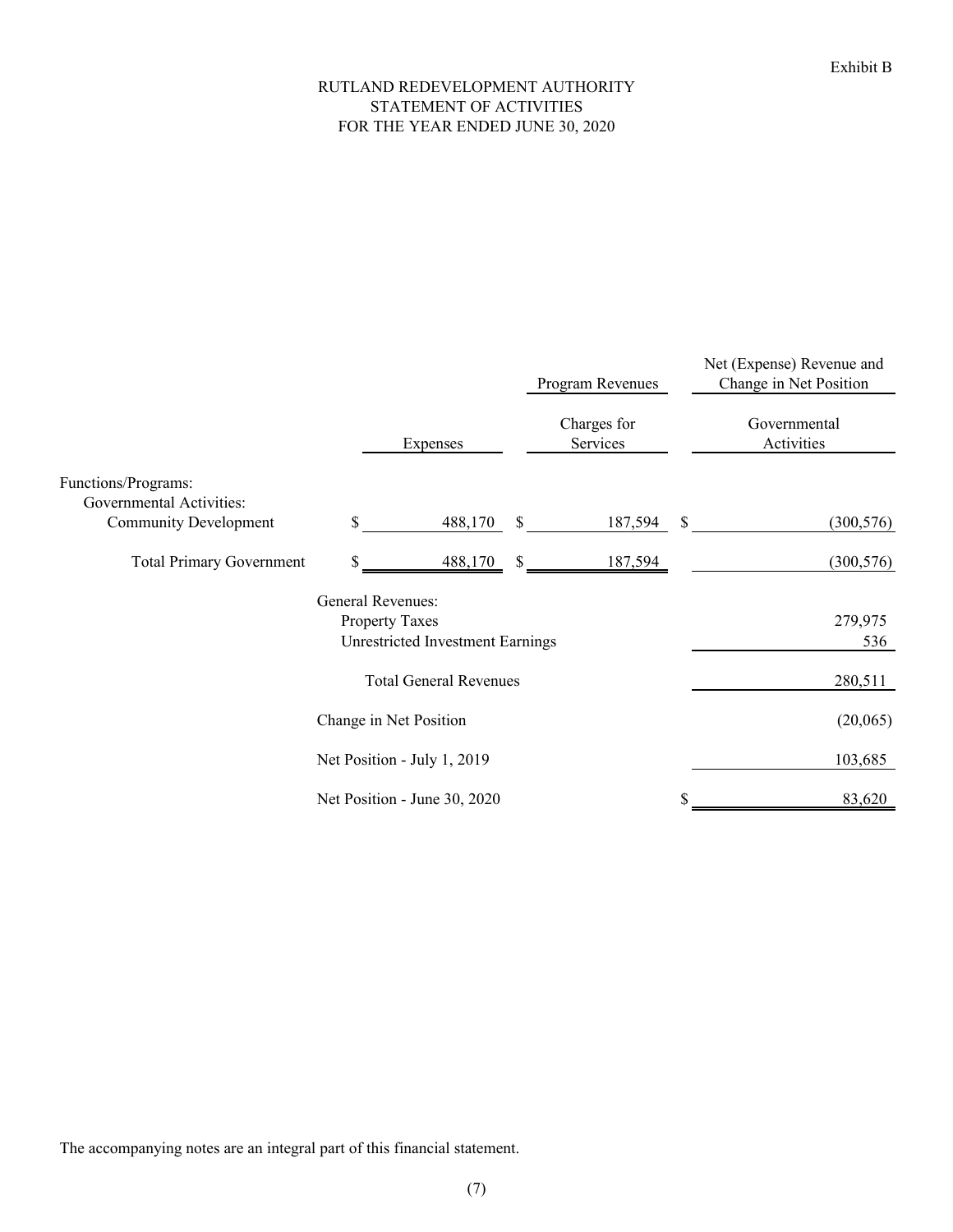#### RUTLAND REDEVELOPMENT AUTHORITY STATEMENT OF ACTIVITIES FOR THE YEAR ENDED JUNE 30, 2020

|                                                          |                                     |                                  |              | Program Revenues        |              | Net (Expense) Revenue and<br>Change in Net Position |
|----------------------------------------------------------|-------------------------------------|----------------------------------|--------------|-------------------------|--------------|-----------------------------------------------------|
|                                                          |                                     | Expenses                         |              | Charges for<br>Services |              | Governmental<br>Activities                          |
| Functions/Programs:                                      |                                     |                                  |              |                         |              |                                                     |
| Governmental Activities:<br><b>Community Development</b> | \$                                  | 488,170                          | $\mathbb{S}$ | 187,594                 | $\mathbb{S}$ | (300, 576)                                          |
| <b>Total Primary Government</b>                          | \$                                  | 488,170                          | S            | 187,594                 |              | (300, 576)                                          |
|                                                          | General Revenues:<br>Property Taxes | Unrestricted Investment Earnings |              |                         |              | 279,975<br>536                                      |
|                                                          |                                     | <b>Total General Revenues</b>    |              |                         |              | 280,511                                             |
|                                                          | Change in Net Position              |                                  |              |                         |              | (20,065)                                            |
|                                                          |                                     | Net Position - July 1, 2019      |              |                         |              | 103,685                                             |
|                                                          |                                     | Net Position - June 30, 2020     |              |                         |              | 83,620                                              |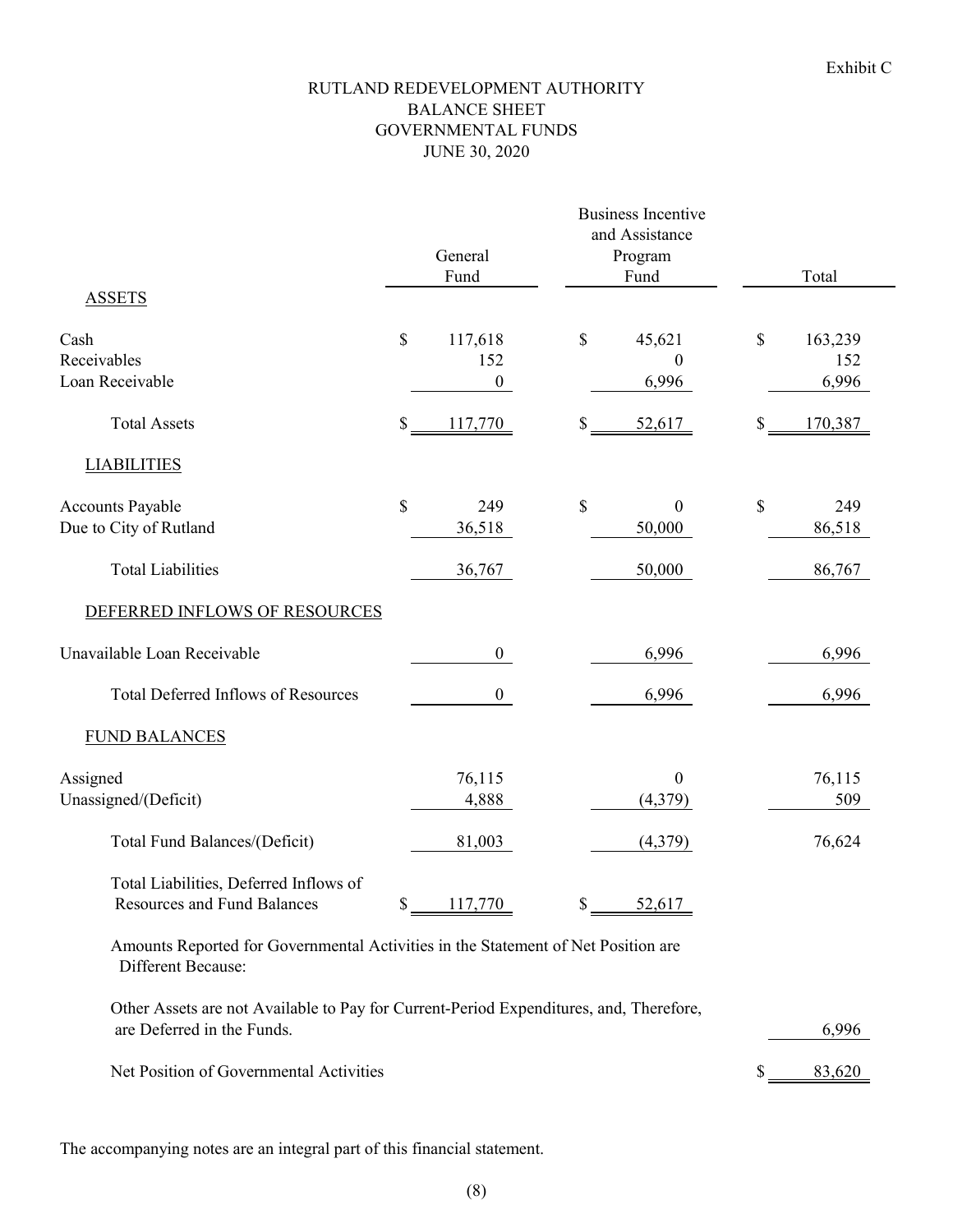#### RUTLAND REDEVELOPMENT AUTHORITY BALANCE SHEET GOVERNMENTAL FUNDS JUNE 30, 2020

|                                                                                                         |              | General<br>Fund                    |              | <b>Business Incentive</b><br>and Assistance<br>Program<br>Fund | Total                         |
|---------------------------------------------------------------------------------------------------------|--------------|------------------------------------|--------------|----------------------------------------------------------------|-------------------------------|
| <b>ASSETS</b>                                                                                           |              |                                    |              |                                                                |                               |
| Cash<br>Receivables<br>Loan Receivable                                                                  | $\mathbb{S}$ | 117,618<br>152<br>$\boldsymbol{0}$ | $\mathbb{S}$ | 45,621<br>$\boldsymbol{0}$<br>6,996                            | \$<br>163,239<br>152<br>6,996 |
| <b>Total Assets</b>                                                                                     | \$           | 117,770                            | \$           | 52,617                                                         | \$<br>170,387                 |
| <b>LIABILITIES</b>                                                                                      |              |                                    |              |                                                                |                               |
| <b>Accounts Payable</b><br>Due to City of Rutland                                                       | \$           | 249<br>36,518                      | $\mathbb{S}$ | $\boldsymbol{0}$<br>50,000                                     | \$<br>249<br>86,518           |
| <b>Total Liabilities</b>                                                                                |              | 36,767                             |              | 50,000                                                         | 86,767                        |
| DEFERRED INFLOWS OF RESOURCES                                                                           |              |                                    |              |                                                                |                               |
| Unavailable Loan Receivable                                                                             |              | $\overline{0}$                     |              | 6,996                                                          | 6,996                         |
| <b>Total Deferred Inflows of Resources</b>                                                              |              | $\overline{0}$                     |              | 6,996                                                          | 6,996                         |
| <b>FUND BALANCES</b>                                                                                    |              |                                    |              |                                                                |                               |
| Assigned<br>Unassigned/(Deficit)                                                                        |              | 76,115<br>4,888                    |              | $\theta$<br>(4,379)                                            | 76,115<br>509                 |
| Total Fund Balances/(Deficit)                                                                           |              | 81,003                             |              | (4,379)                                                        | 76,624                        |
| Total Liabilities, Deferred Inflows of<br><b>Resources and Fund Balances</b>                            | $\mathbb{S}$ | 117,770                            | \$           | 52,617                                                         |                               |
| Amounts Reported for Governmental Activities in the Statement of Net Position are<br>Different Because: |              |                                    |              |                                                                |                               |

Other Assets are not Available to Pay for Current-Period Expenditures, and, Therefore, are Deferred in the Funds. 6,996

| are Delence in the Pands.               | <u>,,,,,,</u> |
|-----------------------------------------|---------------|
| Net Position of Governmental Activities | 83.620        |
|                                         |               |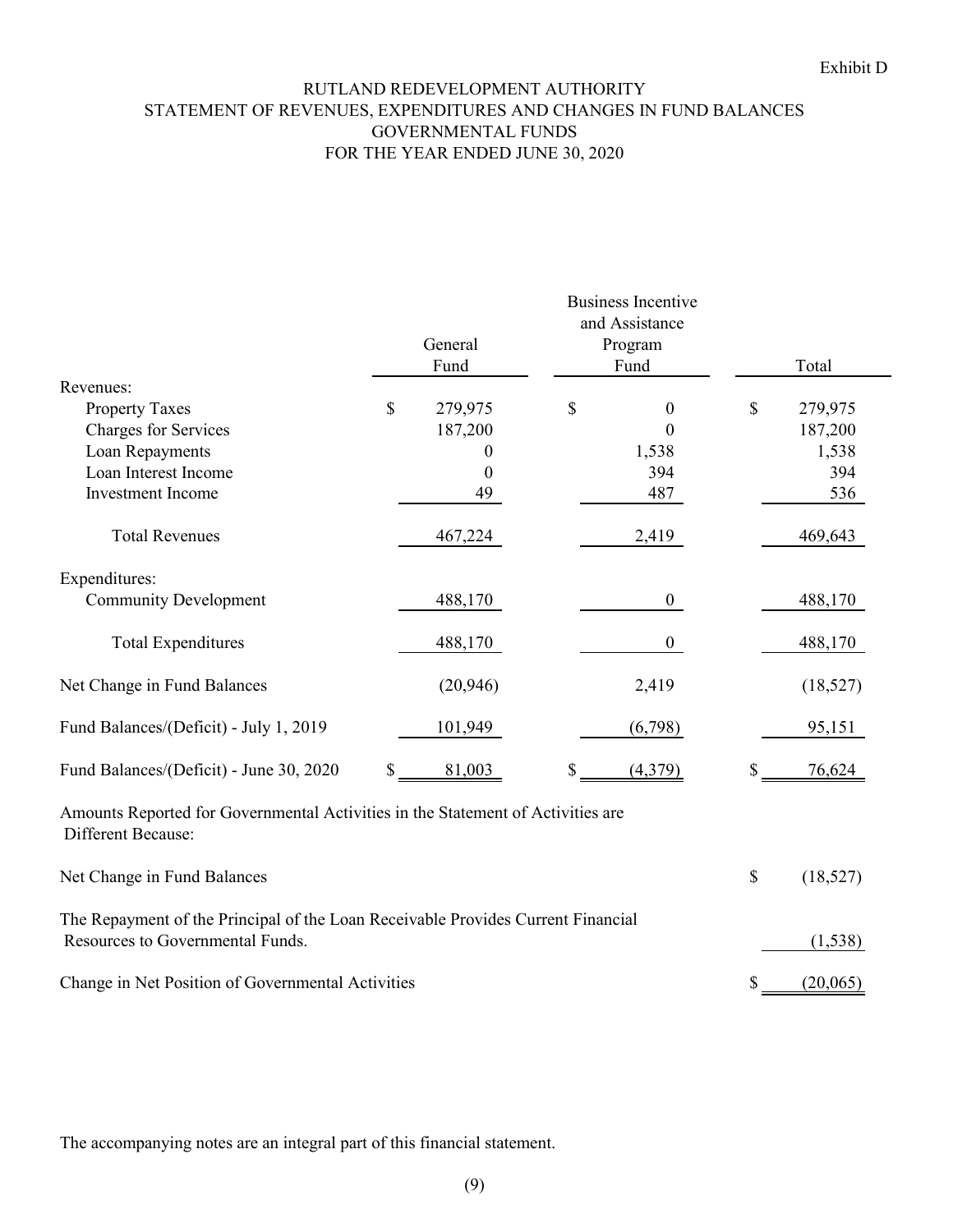#### RUTLAND REDEVELOPMENT AUTHORITY FOR THE YEAR ENDED JUNE 30, 2020 GOVERNMENTAL FUNDS STATEMENT OF REVENUES, EXPENDITURES AND CHANGES IN FUND BALANCES

|                                                                                                                      |              | General          | <b>Business Incentive</b><br>and Assistance |    |           |
|----------------------------------------------------------------------------------------------------------------------|--------------|------------------|---------------------------------------------|----|-----------|
|                                                                                                                      |              | Fund             | Program<br>Fund                             |    | Total     |
| Revenues:                                                                                                            |              |                  |                                             |    |           |
| <b>Property Taxes</b>                                                                                                | \$           | 279,975          | \$<br>$\boldsymbol{0}$                      | \$ | 279,975   |
| <b>Charges for Services</b>                                                                                          |              | 187,200          | $\theta$                                    |    | 187,200   |
| Loan Repayments                                                                                                      |              | $\theta$         | 1,538                                       |    | 1,538     |
| Loan Interest Income                                                                                                 |              | $\boldsymbol{0}$ | 394                                         |    | 394       |
| Investment Income                                                                                                    |              | 49               | 487                                         |    | 536       |
| <b>Total Revenues</b>                                                                                                |              | 467,224          | 2,419                                       |    | 469,643   |
| Expenditures:                                                                                                        |              |                  |                                             |    |           |
| <b>Community Development</b>                                                                                         |              | 488,170          | $\overline{0}$                              |    | 488,170   |
| <b>Total Expenditures</b>                                                                                            |              | 488,170          | $\overline{0}$                              |    | 488,170   |
| Net Change in Fund Balances                                                                                          |              | (20, 946)        | 2,419                                       |    | (18, 527) |
| Fund Balances/(Deficit) - July 1, 2019                                                                               |              | 101,949          | (6,798)                                     |    | 95,151    |
| Fund Balances/(Deficit) - June 30, 2020                                                                              | $\mathbb{S}$ | 81,003           | \$<br>(4,379)                               | S  | 76,624    |
| Amounts Reported for Governmental Activities in the Statement of Activities are<br>Different Because:                |              |                  |                                             |    |           |
| Net Change in Fund Balances                                                                                          |              |                  |                                             | \$ | (18, 527) |
| The Repayment of the Principal of the Loan Receivable Provides Current Financial<br>Resources to Governmental Funds. |              |                  |                                             |    | (1, 538)  |
| Change in Net Position of Governmental Activities                                                                    |              |                  |                                             | \$ | (20,065)  |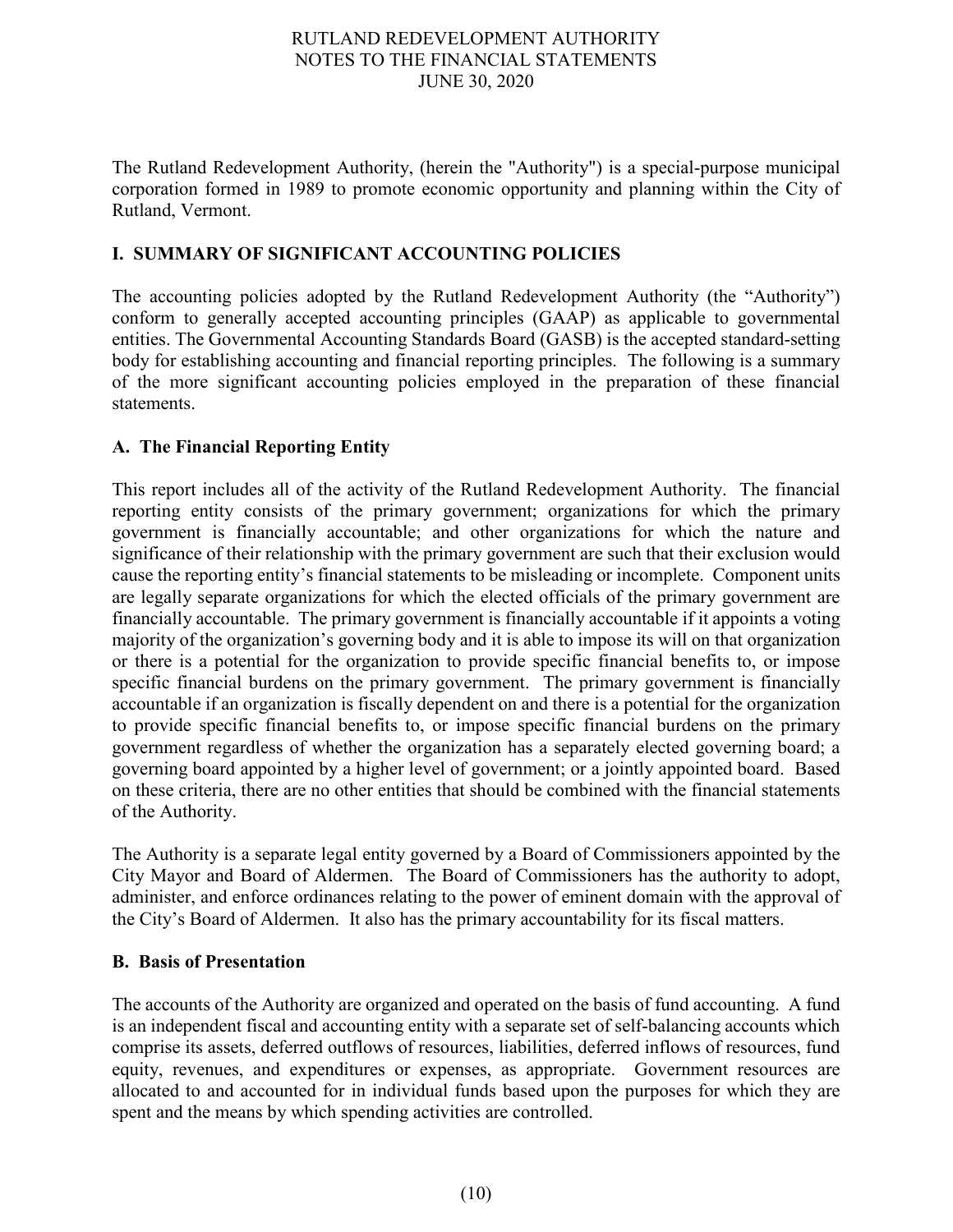The Rutland Redevelopment Authority, (herein the "Authority") is a special-purpose municipal corporation formed in 1989 to promote economic opportunity and planning within the City of Rutland, Vermont.

# **I. SUMMARY OF SIGNIFICANT ACCOUNTING POLICIES**

The accounting policies adopted by the Rutland Redevelopment Authority (the "Authority") conform to generally accepted accounting principles (GAAP) as applicable to governmental entities. The Governmental Accounting Standards Board (GASB) is the accepted standard-setting body for establishing accounting and financial reporting principles. The following is a summary of the more significant accounting policies employed in the preparation of these financial statements.

# **A. The Financial Reporting Entity**

This report includes all of the activity of the Rutland Redevelopment Authority. The financial reporting entity consists of the primary government; organizations for which the primary government is financially accountable; and other organizations for which the nature and significance of their relationship with the primary government are such that their exclusion would cause the reporting entity's financial statements to be misleading or incomplete. Component units are legally separate organizations for which the elected officials of the primary government are financially accountable. The primary government is financially accountable if it appoints a voting majority of the organization's governing body and it is able to impose its will on that organization or there is a potential for the organization to provide specific financial benefits to, or impose specific financial burdens on the primary government. The primary government is financially accountable if an organization is fiscally dependent on and there is a potential for the organization to provide specific financial benefits to, or impose specific financial burdens on the primary government regardless of whether the organization has a separately elected governing board; a governing board appointed by a higher level of government; or a jointly appointed board. Based on these criteria, there are no other entities that should be combined with the financial statements of the Authority.

The Authority is a separate legal entity governed by a Board of Commissioners appointed by the City Mayor and Board of Aldermen. The Board of Commissioners has the authority to adopt, administer, and enforce ordinances relating to the power of eminent domain with the approval of the City's Board of Aldermen. It also has the primary accountability for its fiscal matters.

# **B. Basis of Presentation**

The accounts of the Authority are organized and operated on the basis of fund accounting. A fund is an independent fiscal and accounting entity with a separate set of self-balancing accounts which comprise its assets, deferred outflows of resources, liabilities, deferred inflows of resources, fund equity, revenues, and expenditures or expenses, as appropriate. Government resources are allocated to and accounted for in individual funds based upon the purposes for which they are spent and the means by which spending activities are controlled.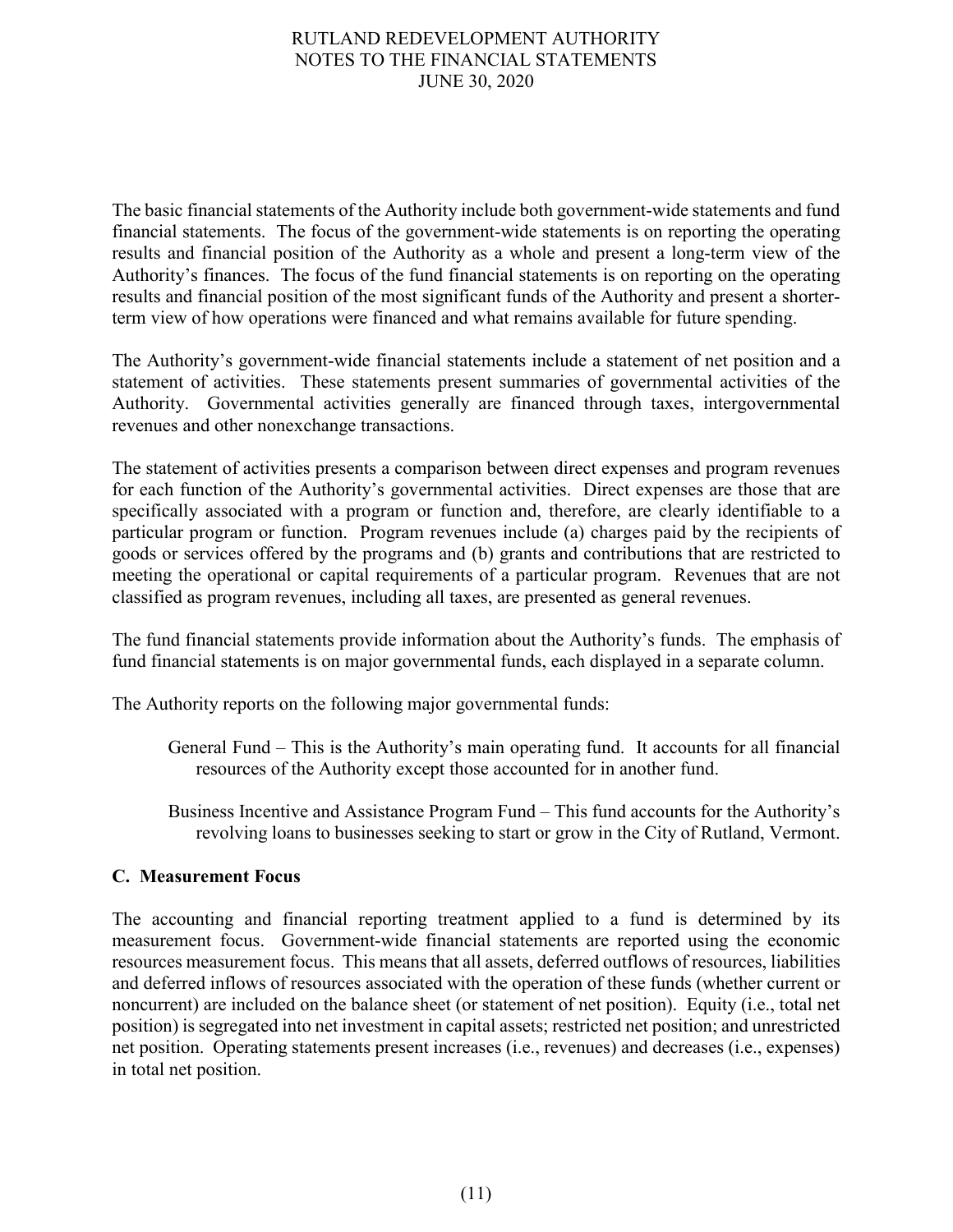The basic financial statements of the Authority include both government-wide statements and fund financial statements. The focus of the government-wide statements is on reporting the operating results and financial position of the Authority as a whole and present a long-term view of the Authority's finances. The focus of the fund financial statements is on reporting on the operating results and financial position of the most significant funds of the Authority and present a shorterterm view of how operations were financed and what remains available for future spending.

The Authority's government-wide financial statements include a statement of net position and a statement of activities. These statements present summaries of governmental activities of the Authority. Governmental activities generally are financed through taxes, intergovernmental revenues and other nonexchange transactions.

The statement of activities presents a comparison between direct expenses and program revenues for each function of the Authority's governmental activities. Direct expenses are those that are specifically associated with a program or function and, therefore, are clearly identifiable to a particular program or function. Program revenues include (a) charges paid by the recipients of goods or services offered by the programs and (b) grants and contributions that are restricted to meeting the operational or capital requirements of a particular program. Revenues that are not classified as program revenues, including all taxes, are presented as general revenues.

The fund financial statements provide information about the Authority's funds. The emphasis of fund financial statements is on major governmental funds, each displayed in a separate column.

The Authority reports on the following major governmental funds:

- General Fund This is the Authority's main operating fund. It accounts for all financial resources of the Authority except those accounted for in another fund.
- Business Incentive and Assistance Program Fund This fund accounts for the Authority's revolving loans to businesses seeking to start or grow in the City of Rutland, Vermont.

# **C. Measurement Focus**

The accounting and financial reporting treatment applied to a fund is determined by its measurement focus. Government-wide financial statements are reported using the economic resources measurement focus. This means that all assets, deferred outflows of resources, liabilities and deferred inflows of resources associated with the operation of these funds (whether current or noncurrent) are included on the balance sheet (or statement of net position). Equity (i.e., total net position) is segregated into net investment in capital assets; restricted net position; and unrestricted net position. Operating statements present increases (i.e., revenues) and decreases (i.e., expenses) in total net position.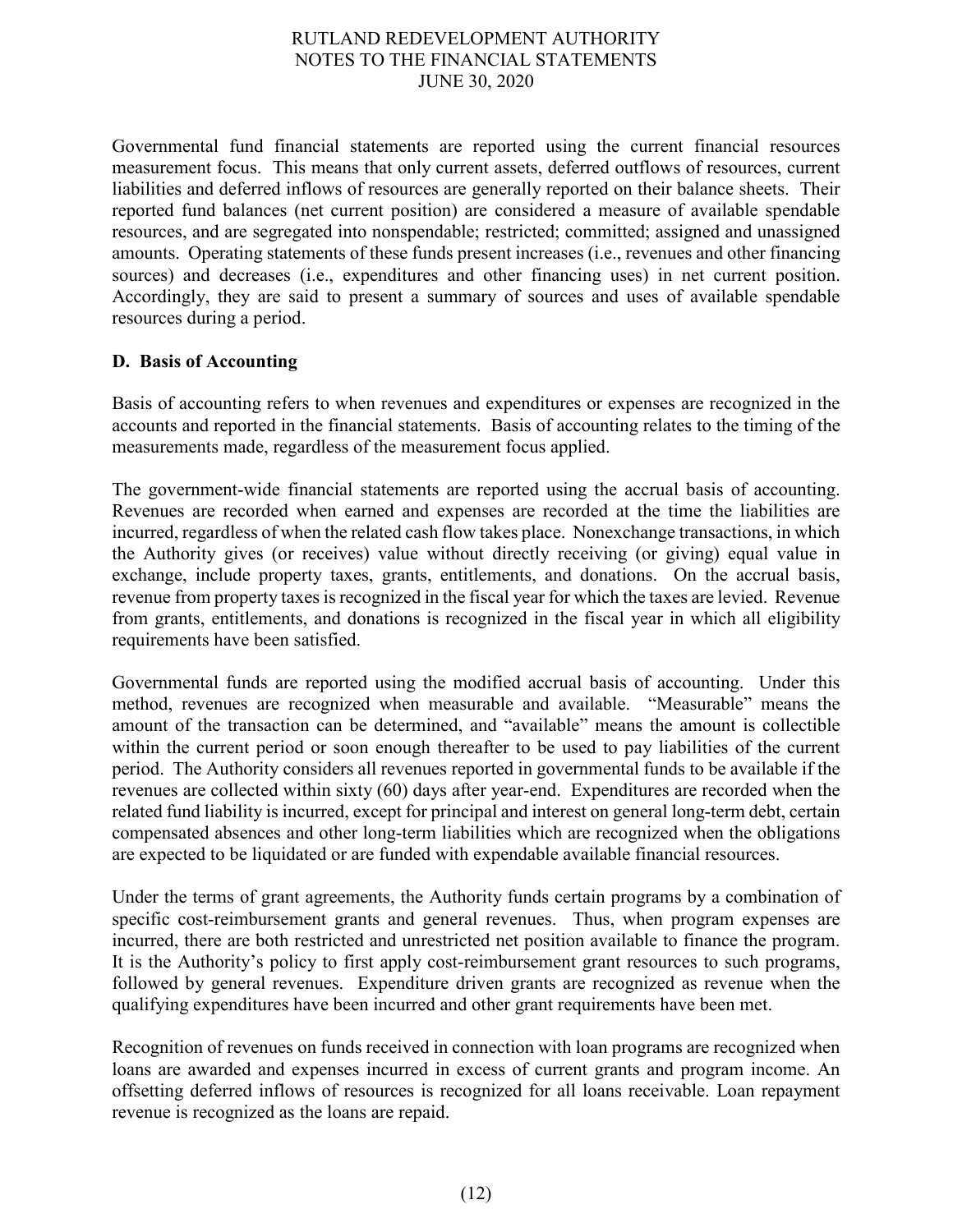Governmental fund financial statements are reported using the current financial resources measurement focus. This means that only current assets, deferred outflows of resources, current liabilities and deferred inflows of resources are generally reported on their balance sheets. Their reported fund balances (net current position) are considered a measure of available spendable resources, and are segregated into nonspendable; restricted; committed; assigned and unassigned amounts. Operating statements of these funds present increases (i.e., revenues and other financing sources) and decreases (i.e., expenditures and other financing uses) in net current position. Accordingly, they are said to present a summary of sources and uses of available spendable resources during a period.

#### **D. Basis of Accounting**

Basis of accounting refers to when revenues and expenditures or expenses are recognized in the accounts and reported in the financial statements. Basis of accounting relates to the timing of the measurements made, regardless of the measurement focus applied.

The government-wide financial statements are reported using the accrual basis of accounting. Revenues are recorded when earned and expenses are recorded at the time the liabilities are incurred, regardless of when the related cash flow takes place. Nonexchange transactions, in which the Authority gives (or receives) value without directly receiving (or giving) equal value in exchange, include property taxes, grants, entitlements, and donations. On the accrual basis, revenue from property taxes is recognized in the fiscal year for which the taxes are levied. Revenue from grants, entitlements, and donations is recognized in the fiscal year in which all eligibility requirements have been satisfied.

Governmental funds are reported using the modified accrual basis of accounting. Under this method, revenues are recognized when measurable and available. "Measurable" means the amount of the transaction can be determined, and "available" means the amount is collectible within the current period or soon enough thereafter to be used to pay liabilities of the current period. The Authority considers all revenues reported in governmental funds to be available if the revenues are collected within sixty (60) days after year-end. Expenditures are recorded when the related fund liability is incurred, except for principal and interest on general long-term debt, certain compensated absences and other long-term liabilities which are recognized when the obligations are expected to be liquidated or are funded with expendable available financial resources.

Under the terms of grant agreements, the Authority funds certain programs by a combination of specific cost-reimbursement grants and general revenues. Thus, when program expenses are incurred, there are both restricted and unrestricted net position available to finance the program. It is the Authority's policy to first apply cost-reimbursement grant resources to such programs, followed by general revenues. Expenditure driven grants are recognized as revenue when the qualifying expenditures have been incurred and other grant requirements have been met.

Recognition of revenues on funds received in connection with loan programs are recognized when loans are awarded and expenses incurred in excess of current grants and program income. An offsetting deferred inflows of resources is recognized for all loans receivable. Loan repayment revenue is recognized as the loans are repaid.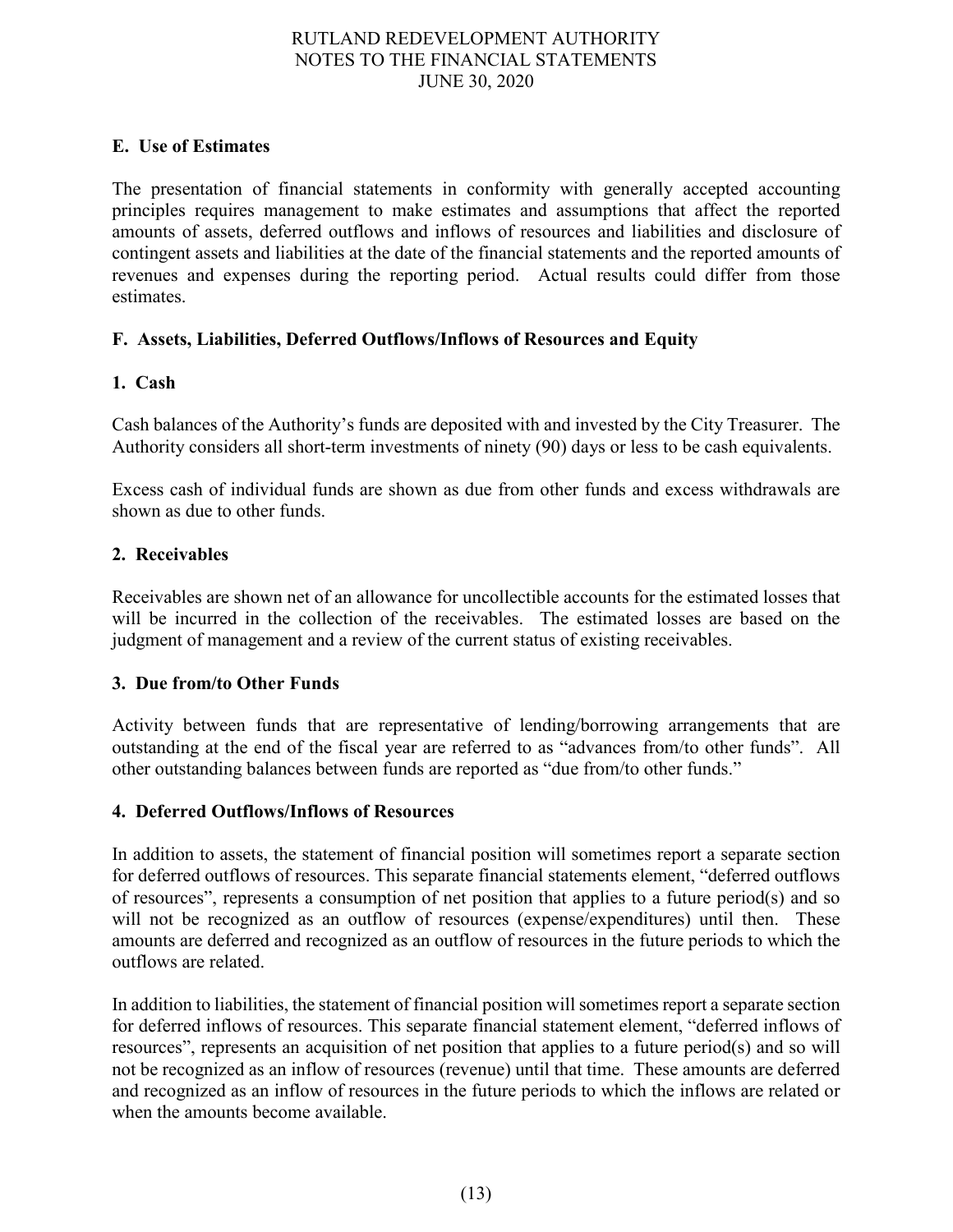#### **E. Use of Estimates**

The presentation of financial statements in conformity with generally accepted accounting principles requires management to make estimates and assumptions that affect the reported amounts of assets, deferred outflows and inflows of resources and liabilities and disclosure of contingent assets and liabilities at the date of the financial statements and the reported amounts of revenues and expenses during the reporting period. Actual results could differ from those estimates.

# **F. Assets, Liabilities, Deferred Outflows/Inflows of Resources and Equity**

#### **1. Cash**

Cash balances of the Authority's funds are deposited with and invested by the City Treasurer. The Authority considers all short-term investments of ninety (90) days or less to be cash equivalents.

Excess cash of individual funds are shown as due from other funds and excess withdrawals are shown as due to other funds.

#### **2. Receivables**

Receivables are shown net of an allowance for uncollectible accounts for the estimated losses that will be incurred in the collection of the receivables. The estimated losses are based on the judgment of management and a review of the current status of existing receivables.

#### **3. Due from/to Other Funds**

Activity between funds that are representative of lending/borrowing arrangements that are outstanding at the end of the fiscal year are referred to as "advances from/to other funds". All other outstanding balances between funds are reported as "due from/to other funds."

#### **4. Deferred Outflows/Inflows of Resources**

In addition to assets, the statement of financial position will sometimes report a separate section for deferred outflows of resources. This separate financial statements element, "deferred outflows of resources", represents a consumption of net position that applies to a future period(s) and so will not be recognized as an outflow of resources (expense/expenditures) until then. These amounts are deferred and recognized as an outflow of resources in the future periods to which the outflows are related.

In addition to liabilities, the statement of financial position will sometimes report a separate section for deferred inflows of resources. This separate financial statement element, "deferred inflows of resources", represents an acquisition of net position that applies to a future period(s) and so will not be recognized as an inflow of resources (revenue) until that time. These amounts are deferred and recognized as an inflow of resources in the future periods to which the inflows are related or when the amounts become available.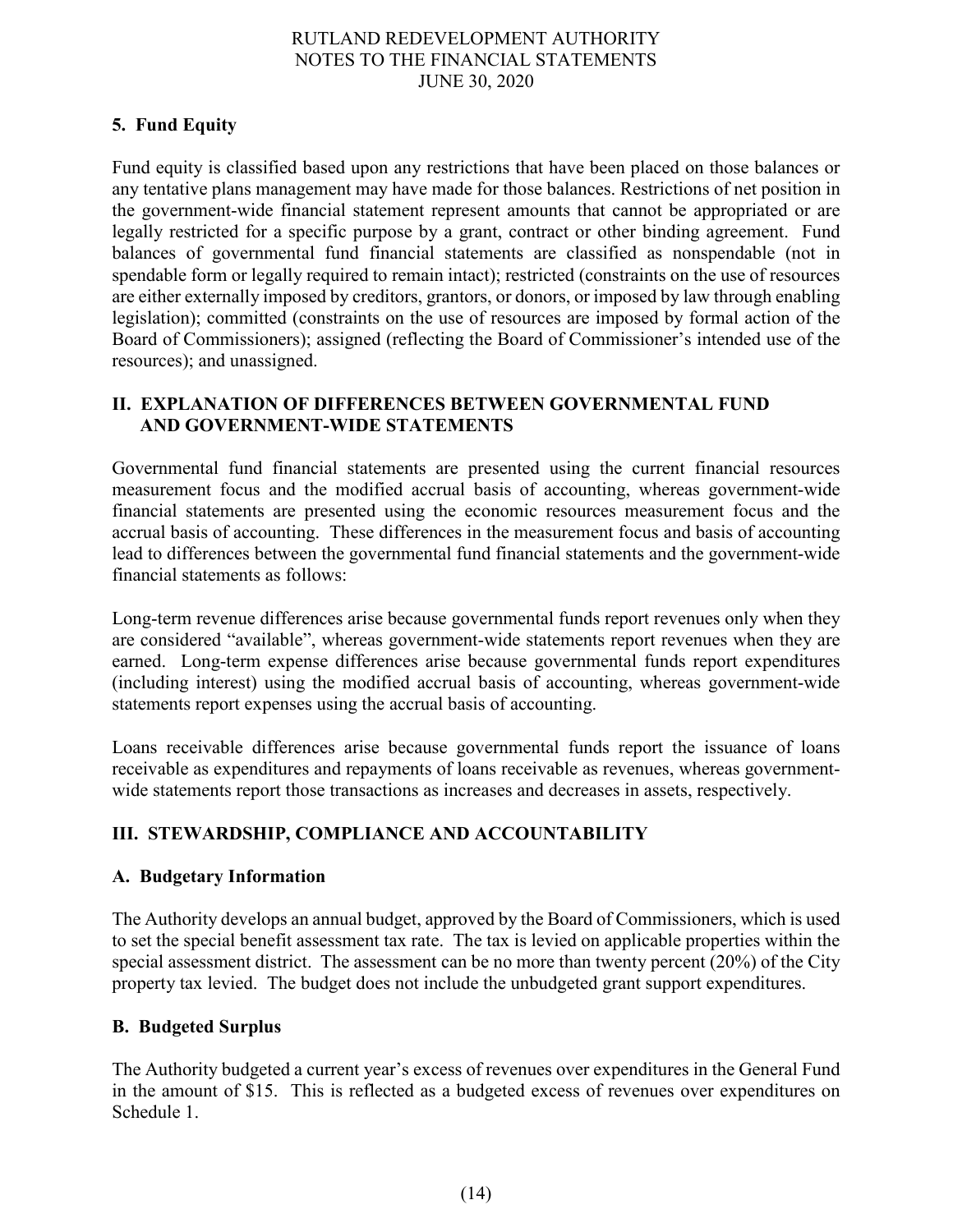# **5. Fund Equity**

Fund equity is classified based upon any restrictions that have been placed on those balances or any tentative plans management may have made for those balances. Restrictions of net position in the government-wide financial statement represent amounts that cannot be appropriated or are legally restricted for a specific purpose by a grant, contract or other binding agreement. Fund balances of governmental fund financial statements are classified as nonspendable (not in spendable form or legally required to remain intact); restricted (constraints on the use of resources are either externally imposed by creditors, grantors, or donors, or imposed by law through enabling legislation); committed (constraints on the use of resources are imposed by formal action of the Board of Commissioners); assigned (reflecting the Board of Commissioner's intended use of the resources); and unassigned.

#### **II. EXPLANATION OF DIFFERENCES BETWEEN GOVERNMENTAL FUND AND GOVERNMENT-WIDE STATEMENTS**

Governmental fund financial statements are presented using the current financial resources measurement focus and the modified accrual basis of accounting, whereas government-wide financial statements are presented using the economic resources measurement focus and the accrual basis of accounting. These differences in the measurement focus and basis of accounting lead to differences between the governmental fund financial statements and the government-wide financial statements as follows:

Long-term revenue differences arise because governmental funds report revenues only when they are considered "available", whereas government-wide statements report revenues when they are earned. Long-term expense differences arise because governmental funds report expenditures (including interest) using the modified accrual basis of accounting, whereas government-wide statements report expenses using the accrual basis of accounting.

Loans receivable differences arise because governmental funds report the issuance of loans receivable as expenditures and repayments of loans receivable as revenues, whereas governmentwide statements report those transactions as increases and decreases in assets, respectively.

# **III. STEWARDSHIP, COMPLIANCE AND ACCOUNTABILITY**

#### **A. Budgetary Information**

The Authority develops an annual budget, approved by the Board of Commissioners, which is used to set the special benefit assessment tax rate. The tax is levied on applicable properties within the special assessment district. The assessment can be no more than twenty percent (20%) of the City property tax levied. The budget does not include the unbudgeted grant support expenditures.

#### **B. Budgeted Surplus**

The Authority budgeted a current year's excess of revenues over expenditures in the General Fund in the amount of \$15. This is reflected as a budgeted excess of revenues over expenditures on Schedule 1.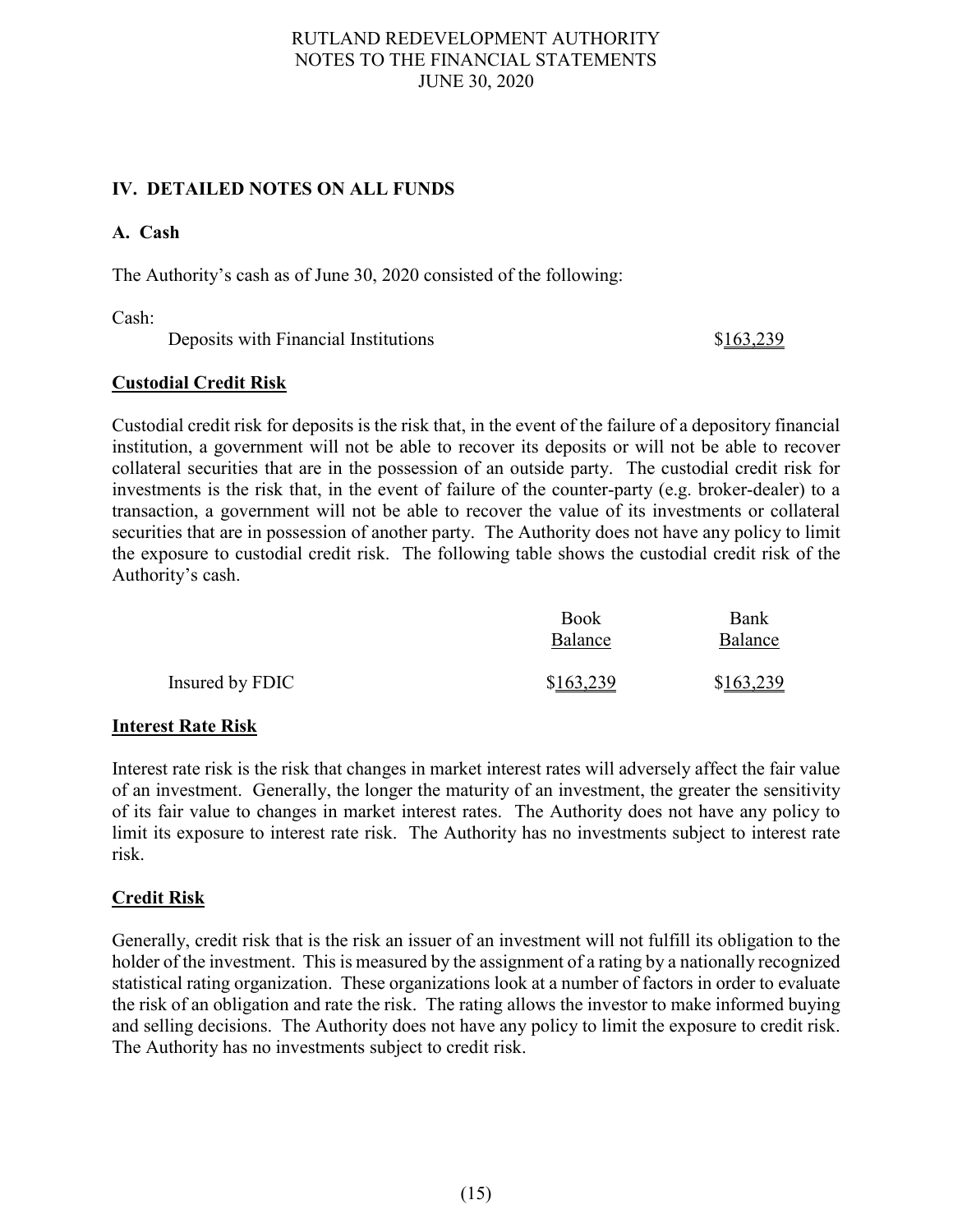#### **IV. DETAILED NOTES ON ALL FUNDS**

#### **A. Cash**

The Authority's cash as of June 30, 2020 consisted of the following:

Cash:

Deposits with Financial Institutions \$163,239

#### **Custodial Credit Risk**

Custodial credit risk for deposits is the risk that, in the event of the failure of a depository financial institution, a government will not be able to recover its deposits or will not be able to recover collateral securities that are in the possession of an outside party. The custodial credit risk for investments is the risk that, in the event of failure of the counter-party (e.g. broker-dealer) to a transaction, a government will not be able to recover the value of its investments or collateral securities that are in possession of another party. The Authority does not have any policy to limit the exposure to custodial credit risk. The following table shows the custodial credit risk of the Authority's cash.

|                 | Book      | <b>Bank</b> |
|-----------------|-----------|-------------|
|                 | Balance   | Balance     |
| Insured by FDIC | \$163,239 | \$163,239   |

#### **Interest Rate Risk**

Interest rate risk is the risk that changes in market interest rates will adversely affect the fair value of an investment. Generally, the longer the maturity of an investment, the greater the sensitivity of its fair value to changes in market interest rates. The Authority does not have any policy to limit its exposure to interest rate risk. The Authority has no investments subject to interest rate risk.

#### **Credit Risk**

Generally, credit risk that is the risk an issuer of an investment will not fulfill its obligation to the holder of the investment. This is measured by the assignment of a rating by a nationally recognized statistical rating organization. These organizations look at a number of factors in order to evaluate the risk of an obligation and rate the risk. The rating allows the investor to make informed buying and selling decisions. The Authority does not have any policy to limit the exposure to credit risk. The Authority has no investments subject to credit risk.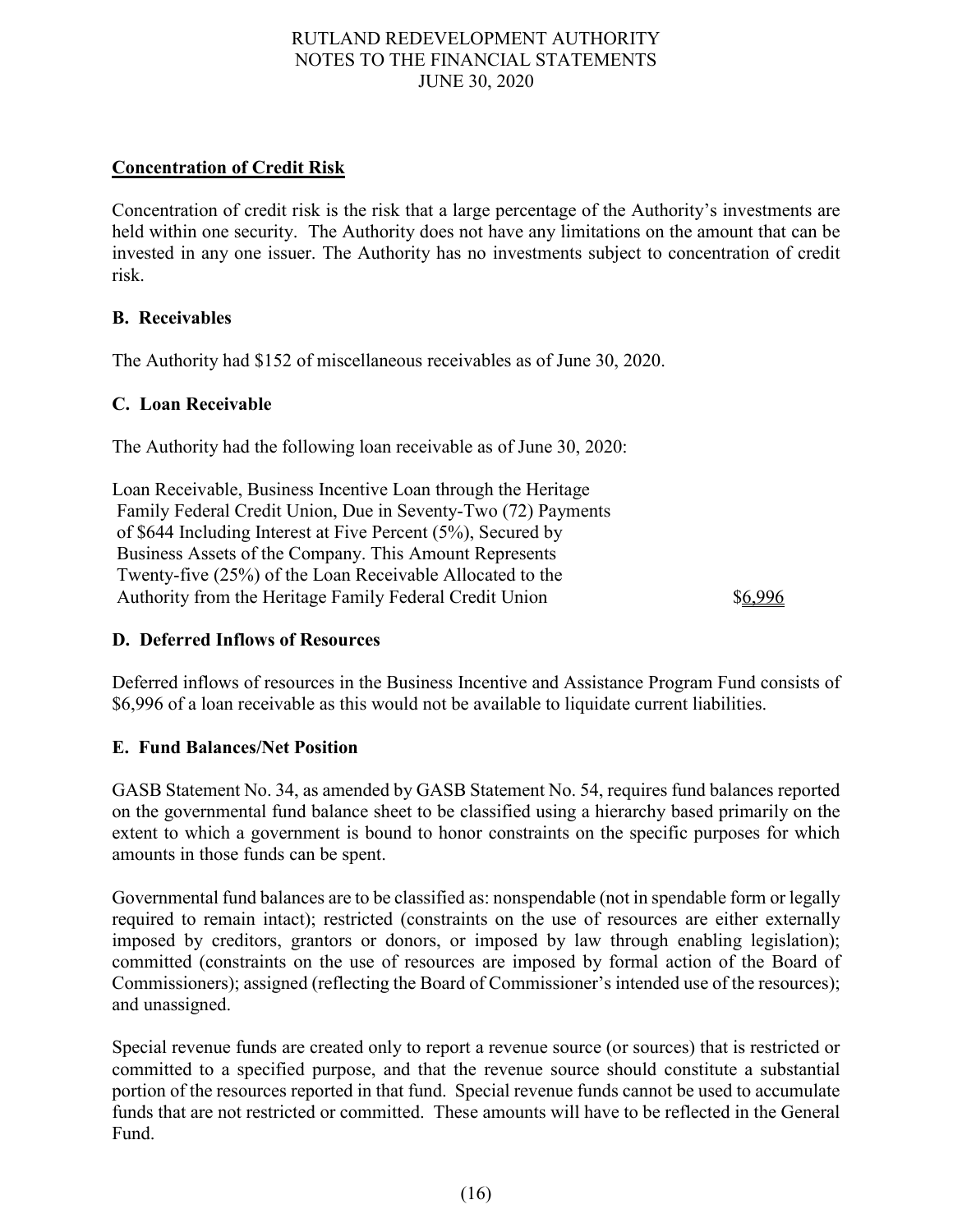# **Concentration of Credit Risk**

Concentration of credit risk is the risk that a large percentage of the Authority's investments are held within one security. The Authority does not have any limitations on the amount that can be invested in any one issuer. The Authority has no investments subject to concentration of credit risk.

# **B. Receivables**

The Authority had \$152 of miscellaneous receivables as of June 30, 2020.

# **C. Loan Receivable**

The Authority had the following loan receivable as of June 30, 2020:

Loan Receivable, Business Incentive Loan through the Heritage Family Federal Credit Union, Due in Seventy-Two (72) Payments of \$644 Including Interest at Five Percent (5%), Secured by Business Assets of the Company. This Amount Represents Twenty-five (25%) of the Loan Receivable Allocated to the Authority from the Heritage Family Federal Credit Union \$6,996

# **D. Deferred Inflows of Resources**

Deferred inflows of resources in the Business Incentive and Assistance Program Fund consists of \$6,996 of a loan receivable as this would not be available to liquidate current liabilities.

# **E. Fund Balances/Net Position**

GASB Statement No. 34, as amended by GASB Statement No. 54, requires fund balances reported on the governmental fund balance sheet to be classified using a hierarchy based primarily on the extent to which a government is bound to honor constraints on the specific purposes for which amounts in those funds can be spent.

Governmental fund balances are to be classified as: nonspendable (not in spendable form or legally required to remain intact); restricted (constraints on the use of resources are either externally imposed by creditors, grantors or donors, or imposed by law through enabling legislation); committed (constraints on the use of resources are imposed by formal action of the Board of Commissioners); assigned (reflecting the Board of Commissioner's intended use of the resources); and unassigned.

Special revenue funds are created only to report a revenue source (or sources) that is restricted or committed to a specified purpose, and that the revenue source should constitute a substantial portion of the resources reported in that fund. Special revenue funds cannot be used to accumulate funds that are not restricted or committed. These amounts will have to be reflected in the General Fund.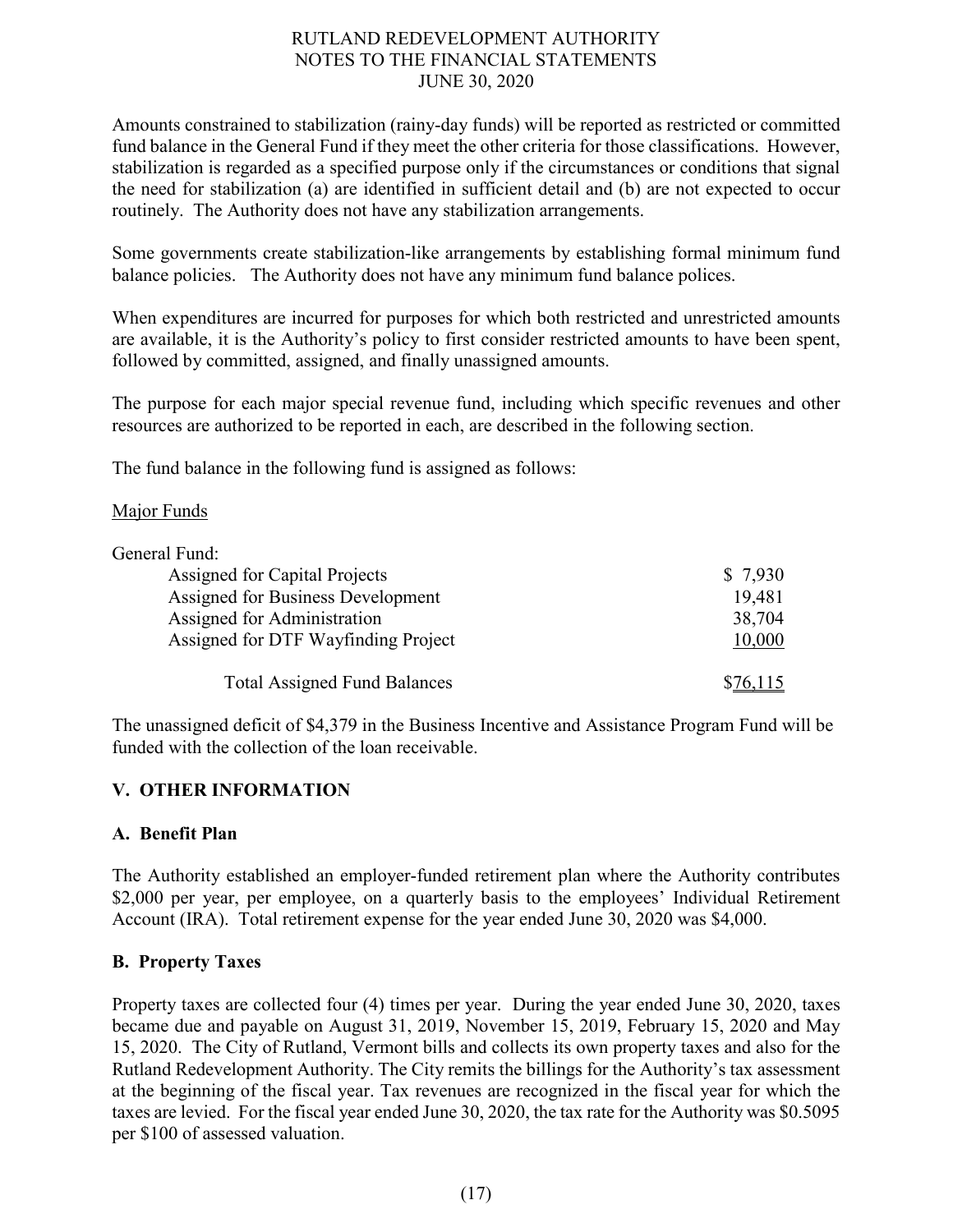Amounts constrained to stabilization (rainy-day funds) will be reported as restricted or committed fund balance in the General Fund if they meet the other criteria for those classifications. However, stabilization is regarded as a specified purpose only if the circumstances or conditions that signal the need for stabilization (a) are identified in sufficient detail and (b) are not expected to occur routinely. The Authority does not have any stabilization arrangements.

Some governments create stabilization-like arrangements by establishing formal minimum fund balance policies. The Authority does not have any minimum fund balance polices.

When expenditures are incurred for purposes for which both restricted and unrestricted amounts are available, it is the Authority's policy to first consider restricted amounts to have been spent, followed by committed, assigned, and finally unassigned amounts.

The purpose for each major special revenue fund, including which specific revenues and other resources are authorized to be reported in each, are described in the following section.

The fund balance in the following fund is assigned as follows:

#### Major Funds

| General Fund:                       |                  |
|-------------------------------------|------------------|
| Assigned for Capital Projects       | \$ 7,930         |
| Assigned for Business Development   | 19,481           |
| Assigned for Administration         | 38,704           |
| Assigned for DTF Wayfinding Project | 10,000           |
| <b>Total Assigned Fund Balances</b> | \$ <u>76,115</u> |

The unassigned deficit of \$4,379 in the Business Incentive and Assistance Program Fund will be funded with the collection of the loan receivable.

# **V. OTHER INFORMATION**

# **A. Benefit Plan**

The Authority established an employer-funded retirement plan where the Authority contributes \$2,000 per year, per employee, on a quarterly basis to the employees' Individual Retirement Account (IRA). Total retirement expense for the year ended June 30, 2020 was \$4,000.

# **B. Property Taxes**

Property taxes are collected four (4) times per year. During the year ended June 30, 2020, taxes became due and payable on August 31, 2019, November 15, 2019, February 15, 2020 and May 15, 2020. The City of Rutland, Vermont bills and collects its own property taxes and also for the Rutland Redevelopment Authority. The City remits the billings for the Authority's tax assessment at the beginning of the fiscal year. Tax revenues are recognized in the fiscal year for which the taxes are levied. For the fiscal year ended June 30, 2020, the tax rate for the Authority was \$0.5095 per \$100 of assessed valuation.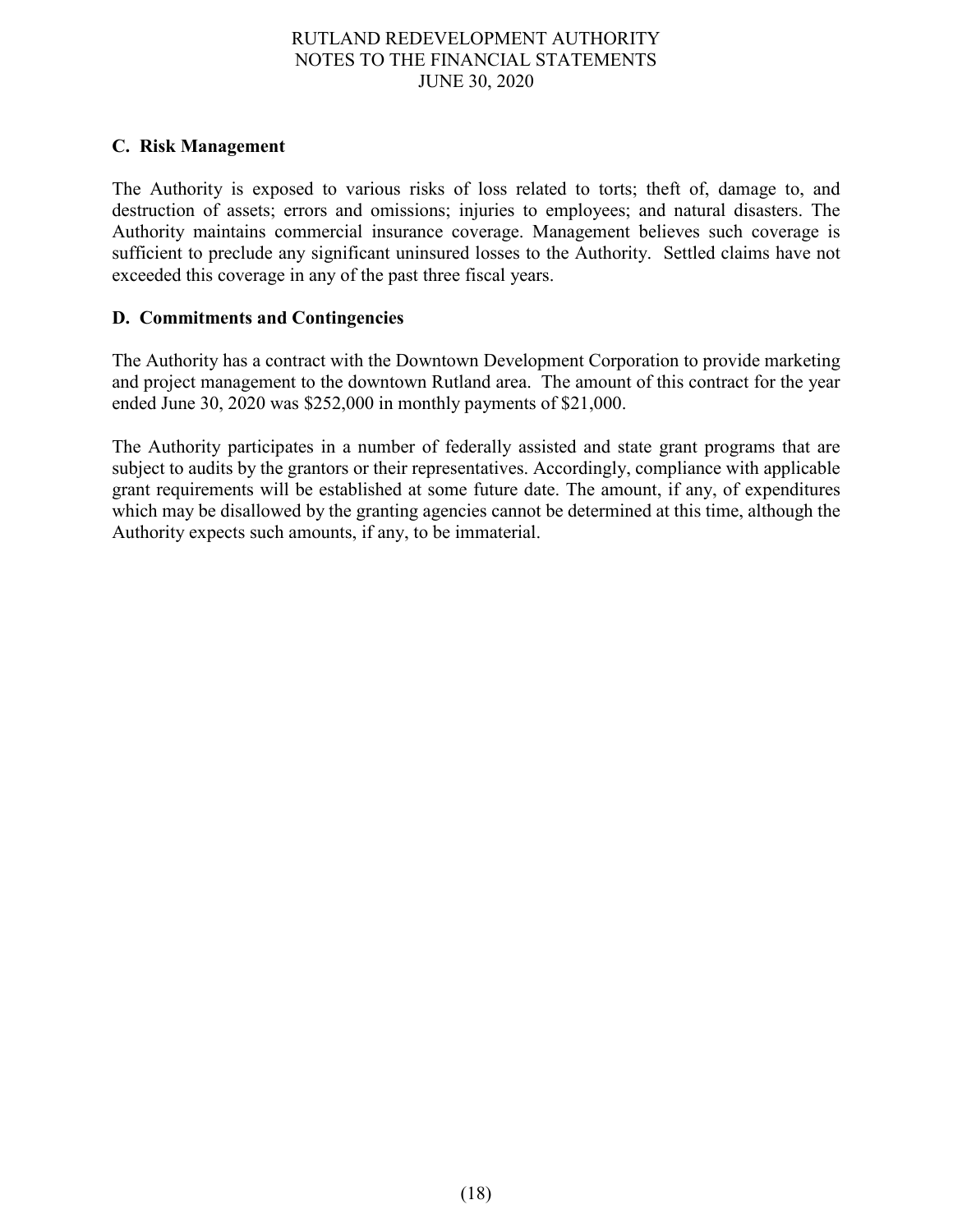#### **C. Risk Management**

The Authority is exposed to various risks of loss related to torts; theft of, damage to, and destruction of assets; errors and omissions; injuries to employees; and natural disasters. The Authority maintains commercial insurance coverage. Management believes such coverage is sufficient to preclude any significant uninsured losses to the Authority. Settled claims have not exceeded this coverage in any of the past three fiscal years.

#### **D. Commitments and Contingencies**

The Authority has a contract with the Downtown Development Corporation to provide marketing and project management to the downtown Rutland area. The amount of this contract for the year ended June 30, 2020 was \$252,000 in monthly payments of \$21,000.

The Authority participates in a number of federally assisted and state grant programs that are subject to audits by the grantors or their representatives. Accordingly, compliance with applicable grant requirements will be established at some future date. The amount, if any, of expenditures which may be disallowed by the granting agencies cannot be determined at this time, although the Authority expects such amounts, if any, to be immaterial.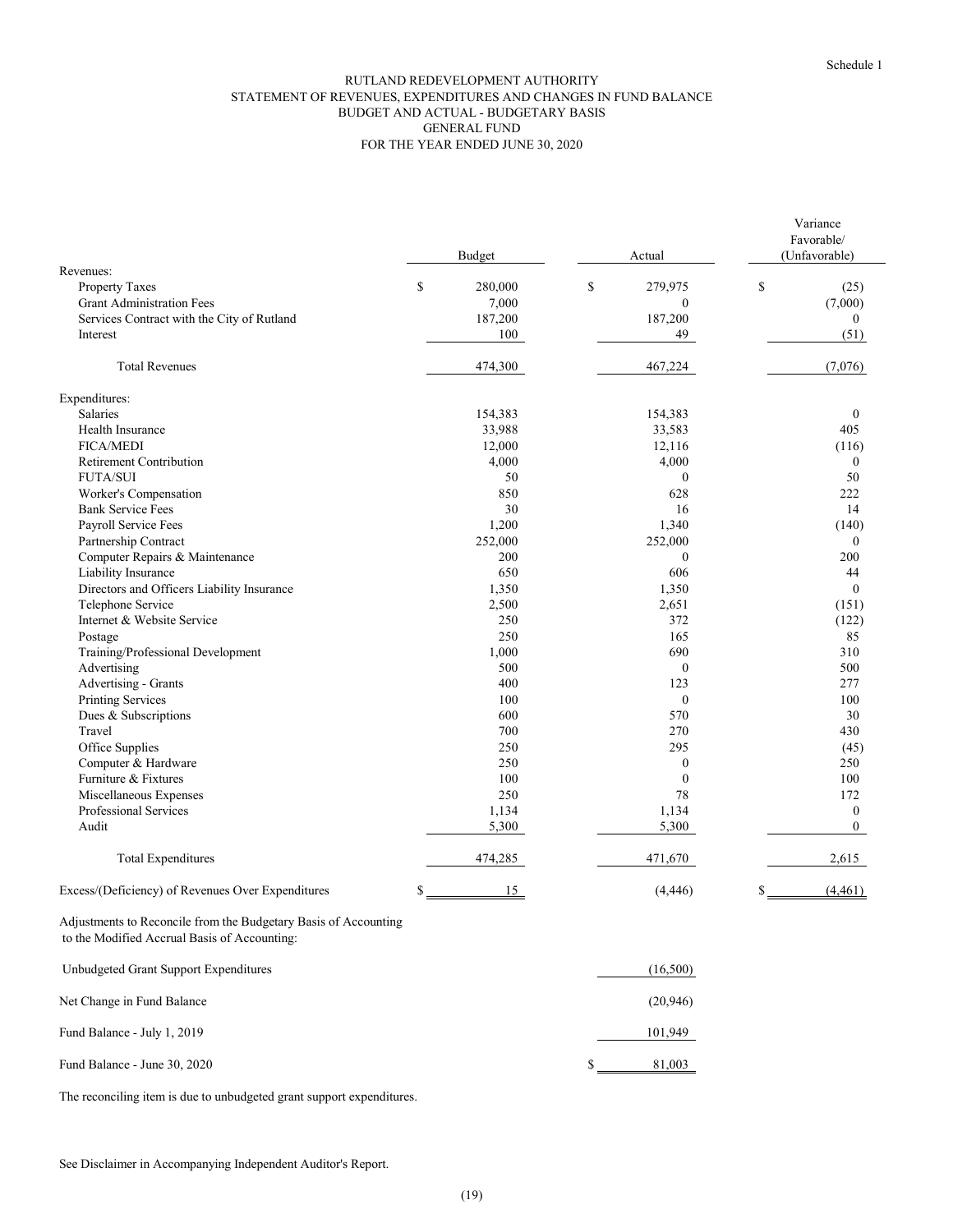#### RUTLAND REDEVELOPMENT AUTHORITY FOR THE YEAR ENDED JUNE 30, 2020 GENERAL FUND BUDGET AND ACTUAL - BUDGETARY BASIS STATEMENT OF REVENUES, EXPENDITURES AND CHANGES IN FUND BALANCE

|                                                                                                                 | Budget        | Actual           | Variance<br>Favorable/<br>(Unfavorable) |
|-----------------------------------------------------------------------------------------------------------------|---------------|------------------|-----------------------------------------|
| Revenues:                                                                                                       |               |                  |                                         |
| <b>Property Taxes</b>                                                                                           | \$<br>280,000 | \$<br>279,975    | \$<br>(25)                              |
| <b>Grant Administration Fees</b>                                                                                | 7,000         | $\boldsymbol{0}$ | (7,000)                                 |
| Services Contract with the City of Rutland                                                                      | 187,200       | 187,200          | $\boldsymbol{0}$                        |
| Interest                                                                                                        | 100           | 49               | (51)                                    |
| <b>Total Revenues</b>                                                                                           | 474,300       | 467,224          | (7,076)                                 |
| Expenditures:                                                                                                   |               |                  |                                         |
| Salaries                                                                                                        | 154,383       | 154,383          | $\boldsymbol{0}$                        |
| Health Insurance                                                                                                | 33,988        | 33,583           | 405                                     |
| <b>FICA/MEDI</b>                                                                                                | 12,000        | 12,116           | (116)                                   |
| <b>Retirement Contribution</b>                                                                                  | 4,000         | 4,000            | $\boldsymbol{0}$                        |
| <b>FUTA/SUI</b>                                                                                                 | 50            | $\boldsymbol{0}$ | 50                                      |
| Worker's Compensation                                                                                           | 850           | 628              | 222                                     |
| <b>Bank Service Fees</b>                                                                                        | 30            | 16               | 14                                      |
| Payroll Service Fees                                                                                            | 1,200         | 1,340            | (140)                                   |
| Partnership Contract                                                                                            | 252,000       | 252,000          | $\boldsymbol{0}$                        |
| Computer Repairs & Maintenance                                                                                  | 200           | $\boldsymbol{0}$ | 200                                     |
| Liability Insurance                                                                                             | 650           | 606              | 44                                      |
| Directors and Officers Liability Insurance                                                                      | 1,350         | 1,350            | $\mathbf{0}$                            |
| Telephone Service                                                                                               | 2,500         | 2,651            | (151)                                   |
| Internet & Website Service                                                                                      | 250           | 372              | (122)                                   |
| Postage                                                                                                         | 250           | 165              | 85                                      |
| Training/Professional Development                                                                               | 1,000         | 690              | 310                                     |
| Advertising                                                                                                     | 500           | $\boldsymbol{0}$ | 500                                     |
| Advertising - Grants                                                                                            | 400           | 123              | 277                                     |
| Printing Services                                                                                               | 100           | $\mathbf{0}$     | 100                                     |
| Dues & Subscriptions                                                                                            | 600           | 570              | 30                                      |
| Travel                                                                                                          | 700           | 270              | 430                                     |
| Office Supplies                                                                                                 | 250           | 295              | (45)                                    |
| Computer & Hardware                                                                                             | 250           | $\boldsymbol{0}$ | 250                                     |
| Furniture & Fixtures                                                                                            | 100           | $\boldsymbol{0}$ | 100                                     |
| Miscellaneous Expenses                                                                                          | 250           | 78               | 172                                     |
| <b>Professional Services</b>                                                                                    | 1,134         | 1,134            | $\boldsymbol{0}$                        |
| Audit                                                                                                           | 5,300         | 5,300            | $\boldsymbol{0}$                        |
| <b>Total Expenditures</b>                                                                                       | 474,285       | 471,670          | 2,615                                   |
|                                                                                                                 |               |                  |                                         |
| Excess/(Deficiency) of Revenues Over Expenditures                                                               | 15<br>\$      | (4, 446)         | (4,461)<br>S                            |
| Adjustments to Reconcile from the Budgetary Basis of Accounting<br>to the Modified Accrual Basis of Accounting: |               |                  |                                         |
| Unbudgeted Grant Support Expenditures                                                                           |               | (16,500)         |                                         |
| Net Change in Fund Balance                                                                                      |               | (20, 946)        |                                         |
| Fund Balance - July 1, 2019                                                                                     |               | 101,949          |                                         |
| Fund Balance - June 30, 2020                                                                                    |               | \$<br>81,003     |                                         |

The reconciling item is due to unbudgeted grant support expenditures.

See Disclaimer in Accompanying Independent Auditor's Report.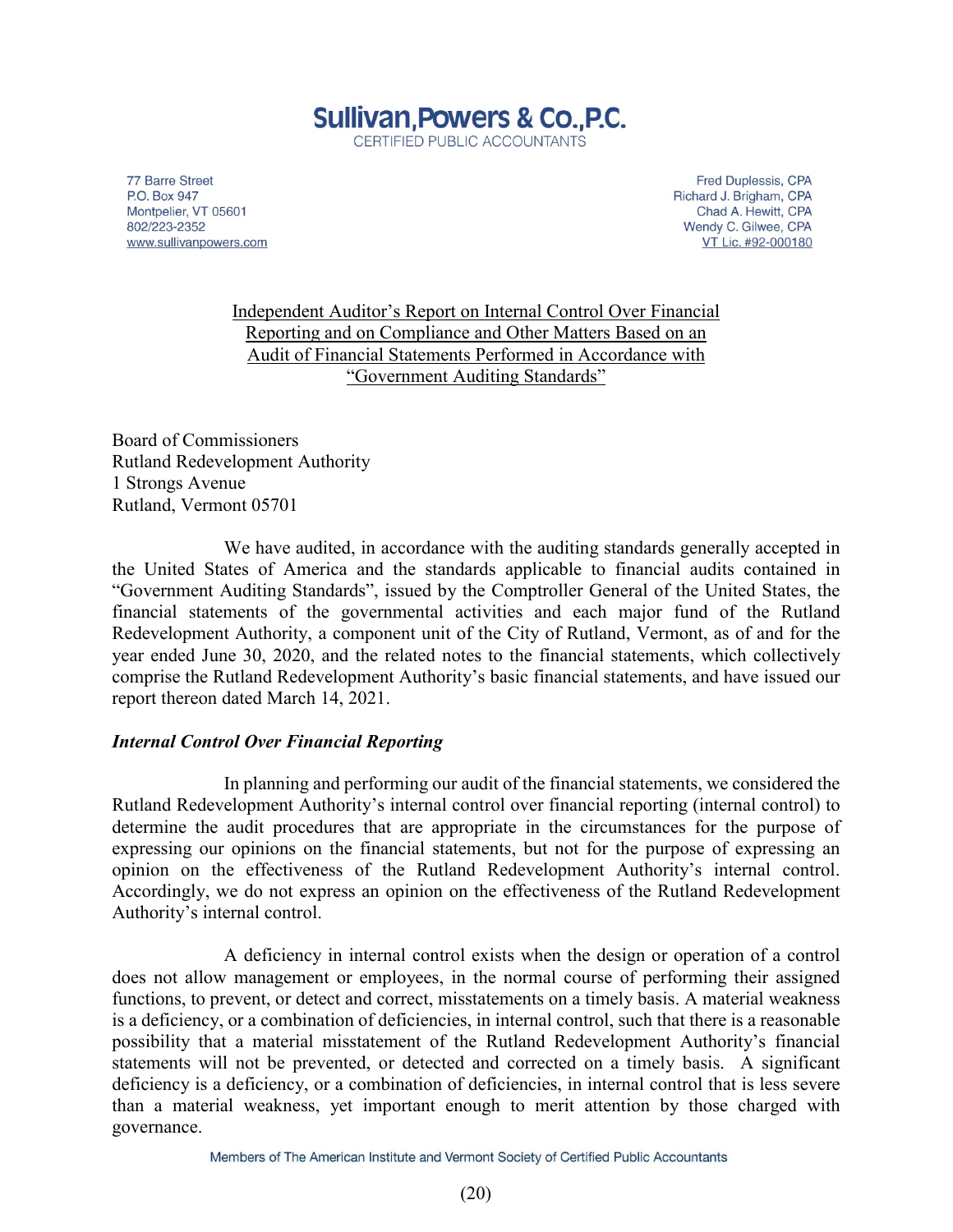# **Sullivan, Powers & Co., P.C.**

CERTIFIED PUBLIC ACCOUNTANTS

**77 Barre Street** P.O. Box 947 Montpelier, VT 05601 802/223-2352 www.sullivanpowers.com

Fred Duplessis, CPA Richard J. Brigham, CPA Chad A. Hewitt, CPA Wendy C. Gilwee, CPA VT Lic. #92-000180

Independent Auditor's Report on Internal Control Over Financial Reporting and on Compliance and Other Matters Based on an Audit of Financial Statements Performed in Accordance with "Government Auditing Standards"

Board of Commissioners Rutland Redevelopment Authority 1 Strongs Avenue Rutland, Vermont 05701

We have audited, in accordance with the auditing standards generally accepted in the United States of America and the standards applicable to financial audits contained in "Government Auditing Standards", issued by the Comptroller General of the United States, the financial statements of the governmental activities and each major fund of the Rutland Redevelopment Authority, a component unit of the City of Rutland, Vermont, as of and for the year ended June 30, 2020, and the related notes to the financial statements, which collectively comprise the Rutland Redevelopment Authority's basic financial statements, and have issued our report thereon dated March 14, 2021.

#### *Internal Control Over Financial Reporting*

In planning and performing our audit of the financial statements, we considered the Rutland Redevelopment Authority's internal control over financial reporting (internal control) to determine the audit procedures that are appropriate in the circumstances for the purpose of expressing our opinions on the financial statements, but not for the purpose of expressing an opinion on the effectiveness of the Rutland Redevelopment Authority's internal control. Accordingly, we do not express an opinion on the effectiveness of the Rutland Redevelopment Authority's internal control.

A deficiency in internal control exists when the design or operation of a control does not allow management or employees, in the normal course of performing their assigned functions, to prevent, or detect and correct, misstatements on a timely basis. A material weakness is a deficiency, or a combination of deficiencies, in internal control, such that there is a reasonable possibility that a material misstatement of the Rutland Redevelopment Authority's financial statements will not be prevented, or detected and corrected on a timely basis. A significant deficiency is a deficiency, or a combination of deficiencies, in internal control that is less severe than a material weakness, yet important enough to merit attention by those charged with governance.